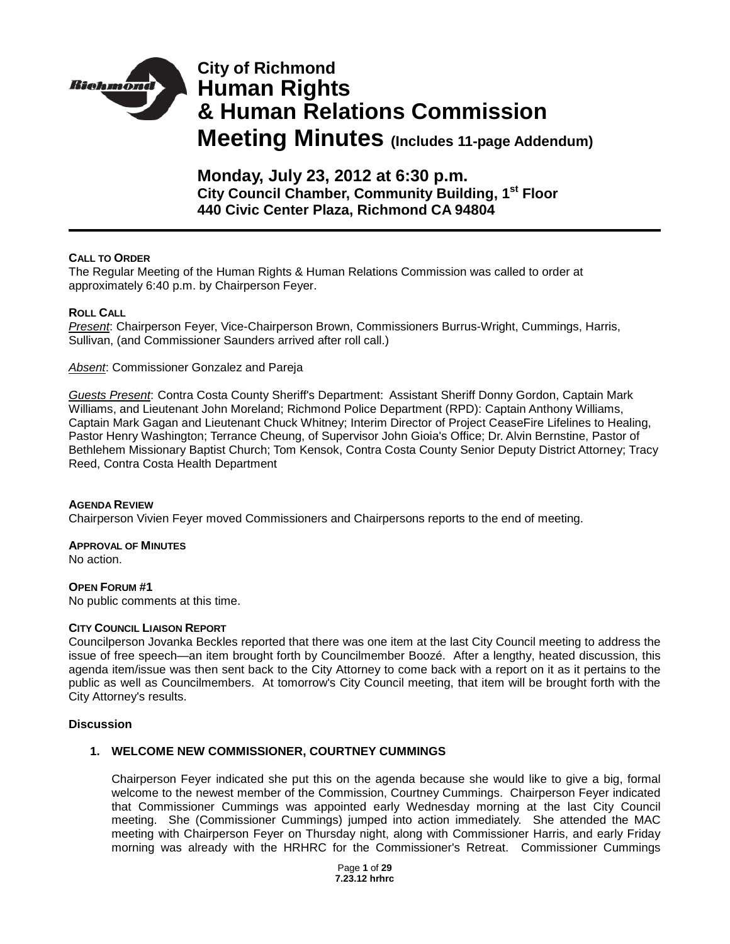

# **City of Richmond Human Rights & Human Relations Commission Meeting Minutes (Includes 11-page Addendum)**

**Monday, July 23, 2012 at 6:30 p.m. City Council Chamber, Community Building, 1st Floor 440 Civic Center Plaza, Richmond CA 94804**

## **CALL TO ORDER**

The Regular Meeting of the Human Rights & Human Relations Commission was called to order at approximately 6:40 p.m. by Chairperson Feyer.

## **ROLL CALL**

*Present*: Chairperson Feyer, Vice-Chairperson Brown, Commissioners Burrus-Wright, Cummings, Harris, Sullivan, (and Commissioner Saunders arrived after roll call.)

*Absent*: Commissioner Gonzalez and Pareja

*Guests Present*: Contra Costa County Sheriff's Department: Assistant Sheriff Donny Gordon, Captain Mark Williams, and Lieutenant John Moreland; Richmond Police Department (RPD): Captain Anthony Williams, Captain Mark Gagan and Lieutenant Chuck Whitney; Interim Director of Project CeaseFire Lifelines to Healing, Pastor Henry Washington; Terrance Cheung, of Supervisor John Gioia's Office; Dr. Alvin Bernstine, Pastor of Bethlehem Missionary Baptist Church; Tom Kensok, Contra Costa County Senior Deputy District Attorney; Tracy Reed, Contra Costa Health Department

## **AGENDA REVIEW**

Chairperson Vivien Feyer moved Commissioners and Chairpersons reports to the end of meeting.

## **APPROVAL OF MINUTES**

No action.

## **OPEN FORUM #1**

No public comments at this time.

## **CITY COUNCIL LIAISON REPORT**

Councilperson Jovanka Beckles reported that there was one item at the last City Council meeting to address the issue of free speech—an item brought forth by Councilmember Boozé. After a lengthy, heated discussion, this agenda item/issue was then sent back to the City Attorney to come back with a report on it as it pertains to the public as well as Councilmembers. At tomorrow's City Council meeting, that item will be brought forth with the City Attorney's results.

## **Discussion**

## **1. WELCOME NEW COMMISSIONER, COURTNEY CUMMINGS**

Chairperson Feyer indicated she put this on the agenda because she would like to give a big, formal welcome to the newest member of the Commission, Courtney Cummings. Chairperson Feyer indicated that Commissioner Cummings was appointed early Wednesday morning at the last City Council meeting. She (Commissioner Cummings) jumped into action immediately. She attended the MAC meeting with Chairperson Feyer on Thursday night, along with Commissioner Harris, and early Friday morning was already with the HRHRC for the Commissioner's Retreat. Commissioner Cummings

> Page **1** of **29 7.23.12 hrhrc**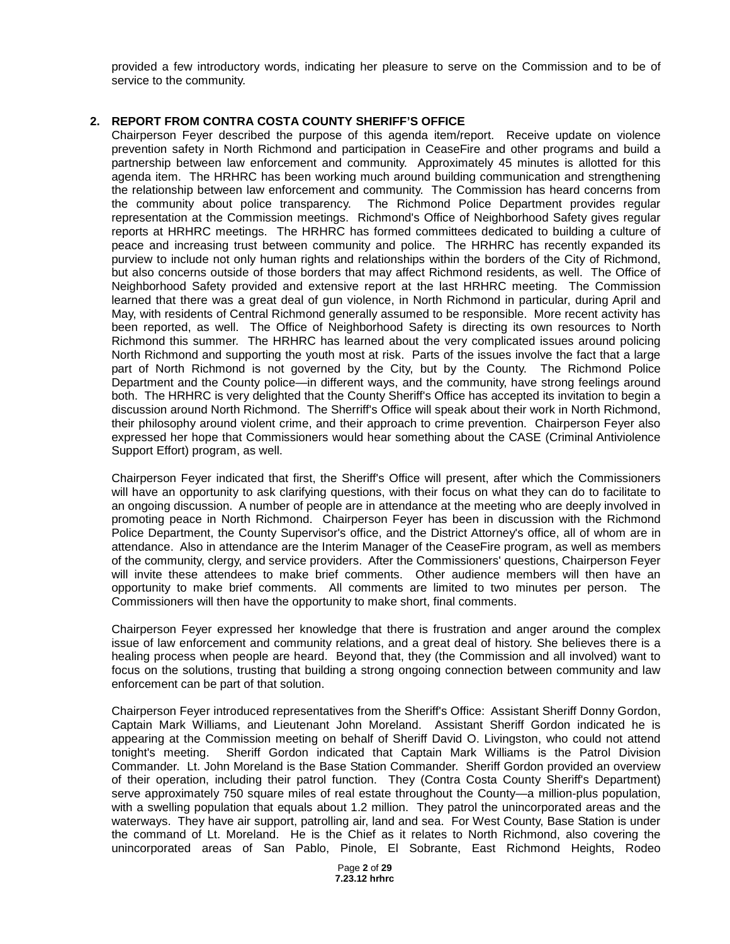provided a few introductory words, indicating her pleasure to serve on the Commission and to be of service to the community.

## **2. REPORT FROM CONTRA COSTA COUNTY SHERIFF'S OFFICE**

Chairperson Feyer described the purpose of this agenda item/report. Receive update on violence prevention safety in North Richmond and participation in CeaseFire and other programs and build a partnership between law enforcement and community. Approximately 45 minutes is allotted for this agenda item. The HRHRC has been working much around building communication and strengthening the relationship between law enforcement and community. The Commission has heard concerns from the community about police transparency. The Richmond Police Department provides regular representation at the Commission meetings. Richmond's Office of Neighborhood Safety gives regular reports at HRHRC meetings. The HRHRC has formed committees dedicated to building a culture of peace and increasing trust between community and police. The HRHRC has recently expanded its purview to include not only human rights and relationships within the borders of the City of Richmond, but also concerns outside of those borders that may affect Richmond residents, as well. The Office of Neighborhood Safety provided and extensive report at the last HRHRC meeting. The Commission learned that there was a great deal of gun violence, in North Richmond in particular, during April and May, with residents of Central Richmond generally assumed to be responsible. More recent activity has been reported, as well. The Office of Neighborhood Safety is directing its own resources to North Richmond this summer. The HRHRC has learned about the very complicated issues around policing North Richmond and supporting the youth most at risk. Parts of the issues involve the fact that a large part of North Richmond is not governed by the City, but by the County. The Richmond Police Department and the County police—in different ways, and the community, have strong feelings around both. The HRHRC is very delighted that the County Sheriff's Office has accepted its invitation to begin a discussion around North Richmond. The Sherriff's Office will speak about their work in North Richmond, their philosophy around violent crime, and their approach to crime prevention. Chairperson Feyer also expressed her hope that Commissioners would hear something about the CASE (Criminal Antiviolence Support Effort) program, as well.

Chairperson Feyer indicated that first, the Sheriff's Office will present, after which the Commissioners will have an opportunity to ask clarifying questions, with their focus on what they can do to facilitate to an ongoing discussion. A number of people are in attendance at the meeting who are deeply involved in promoting peace in North Richmond. Chairperson Feyer has been in discussion with the Richmond Police Department, the County Supervisor's office, and the District Attorney's office, all of whom are in attendance. Also in attendance are the Interim Manager of the CeaseFire program, as well as members of the community, clergy, and service providers. After the Commissioners' questions, Chairperson Feyer will invite these attendees to make brief comments. Other audience members will then have an opportunity to make brief comments. All comments are limited to two minutes per person. The Commissioners will then have the opportunity to make short, final comments.

Chairperson Feyer expressed her knowledge that there is frustration and anger around the complex issue of law enforcement and community relations, and a great deal of history. She believes there is a healing process when people are heard. Beyond that, they (the Commission and all involved) want to focus on the solutions, trusting that building a strong ongoing connection between community and law enforcement can be part of that solution.

Chairperson Feyer introduced representatives from the Sheriff's Office: Assistant Sheriff Donny Gordon, Captain Mark Williams, and Lieutenant John Moreland. Assistant Sheriff Gordon indicated he is appearing at the Commission meeting on behalf of Sheriff David O. Livingston, who could not attend tonight's meeting. Sheriff Gordon indicated that Captain Mark Williams is the Patrol Division Commander. Lt. John Moreland is the Base Station Commander. Sheriff Gordon provided an overview of their operation, including their patrol function. They (Contra Costa County Sheriff's Department) serve approximately 750 square miles of real estate throughout the County—a million-plus population, with a swelling population that equals about 1.2 million. They patrol the unincorporated areas and the waterways. They have air support, patrolling air, land and sea. For West County, Base Station is under the command of Lt. Moreland. He is the Chief as it relates to North Richmond, also covering the unincorporated areas of San Pablo, Pinole, El Sobrante, East Richmond Heights, Rodeo

> Page **2** of **29 7.23.12 hrhrc**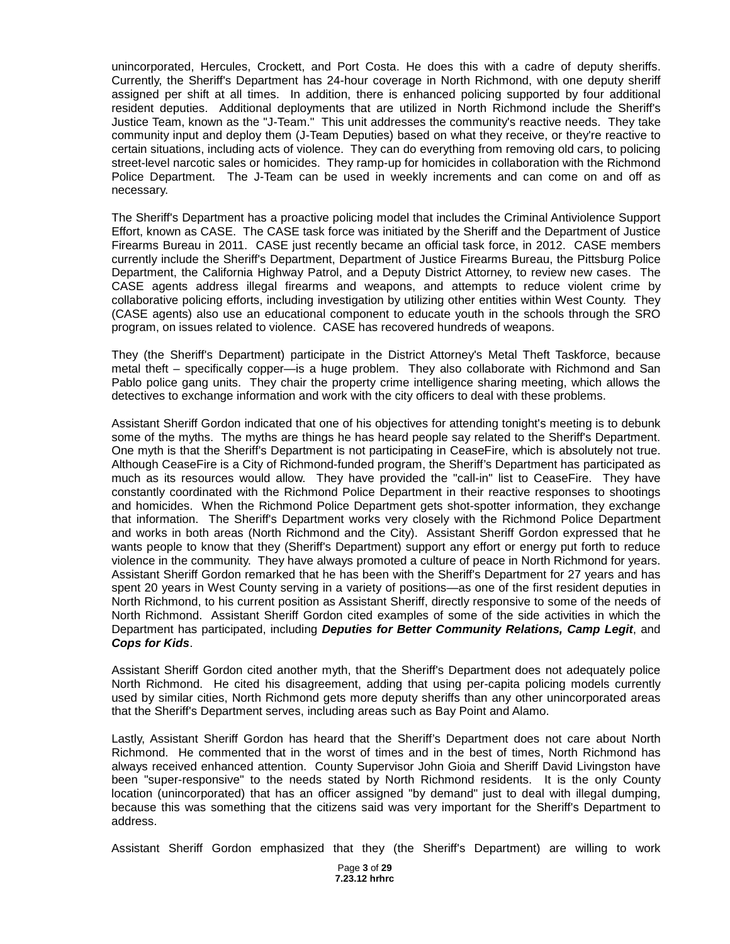unincorporated, Hercules, Crockett, and Port Costa. He does this with a cadre of deputy sheriffs. Currently, the Sheriff's Department has 24-hour coverage in North Richmond, with one deputy sheriff assigned per shift at all times. In addition, there is enhanced policing supported by four additional resident deputies. Additional deployments that are utilized in North Richmond include the Sheriff's Justice Team, known as the "J-Team." This unit addresses the community's reactive needs. They take community input and deploy them (J-Team Deputies) based on what they receive, or they're reactive to certain situations, including acts of violence. They can do everything from removing old cars, to policing street-level narcotic sales or homicides. They ramp-up for homicides in collaboration with the Richmond Police Department. The J-Team can be used in weekly increments and can come on and off as necessary.

The Sheriff's Department has a proactive policing model that includes the Criminal Antiviolence Support Effort, known as CASE. The CASE task force was initiated by the Sheriff and the Department of Justice Firearms Bureau in 2011. CASE just recently became an official task force, in 2012. CASE members currently include the Sheriff's Department, Department of Justice Firearms Bureau, the Pittsburg Police Department, the California Highway Patrol, and a Deputy District Attorney, to review new cases. The CASE agents address illegal firearms and weapons, and attempts to reduce violent crime by collaborative policing efforts, including investigation by utilizing other entities within West County. They (CASE agents) also use an educational component to educate youth in the schools through the SRO program, on issues related to violence. CASE has recovered hundreds of weapons.

They (the Sheriff's Department) participate in the District Attorney's Metal Theft Taskforce, because metal theft – specifically copper—is a huge problem. They also collaborate with Richmond and San Pablo police gang units. They chair the property crime intelligence sharing meeting, which allows the detectives to exchange information and work with the city officers to deal with these problems.

Assistant Sheriff Gordon indicated that one of his objectives for attending tonight's meeting is to debunk some of the myths. The myths are things he has heard people say related to the Sheriff's Department. One myth is that the Sheriff's Department is not participating in CeaseFire, which is absolutely not true. Although CeaseFire is a City of Richmond-funded program, the Sheriff's Department has participated as much as its resources would allow. They have provided the "call-in" list to CeaseFire. They have constantly coordinated with the Richmond Police Department in their reactive responses to shootings and homicides. When the Richmond Police Department gets shot-spotter information, they exchange that information. The Sheriff's Department works very closely with the Richmond Police Department and works in both areas (North Richmond and the City). Assistant Sheriff Gordon expressed that he wants people to know that they (Sheriff's Department) support any effort or energy put forth to reduce violence in the community. They have always promoted a culture of peace in North Richmond for years. Assistant Sheriff Gordon remarked that he has been with the Sheriff's Department for 27 years and has spent 20 years in West County serving in a variety of positions—as one of the first resident deputies in North Richmond, to his current position as Assistant Sheriff, directly responsive to some of the needs of North Richmond. Assistant Sheriff Gordon cited examples of some of the side activities in which the Department has participated, including *Deputies for Better Community Relations, Camp Legit*, and *Cops for Kids*.

Assistant Sheriff Gordon cited another myth, that the Sheriff's Department does not adequately police North Richmond. He cited his disagreement, adding that using per-capita policing models currently used by similar cities, North Richmond gets more deputy sheriffs than any other unincorporated areas that the Sheriff's Department serves, including areas such as Bay Point and Alamo.

Lastly, Assistant Sheriff Gordon has heard that the Sheriff's Department does not care about North Richmond. He commented that in the worst of times and in the best of times, North Richmond has always received enhanced attention. County Supervisor John Gioia and Sheriff David Livingston have been "super-responsive" to the needs stated by North Richmond residents. It is the only County location (unincorporated) that has an officer assigned "by demand" just to deal with illegal dumping, because this was something that the citizens said was very important for the Sheriff's Department to address.

Assistant Sheriff Gordon emphasized that they (the Sheriff's Department) are willing to work

Page **3** of **29 7.23.12 hrhrc**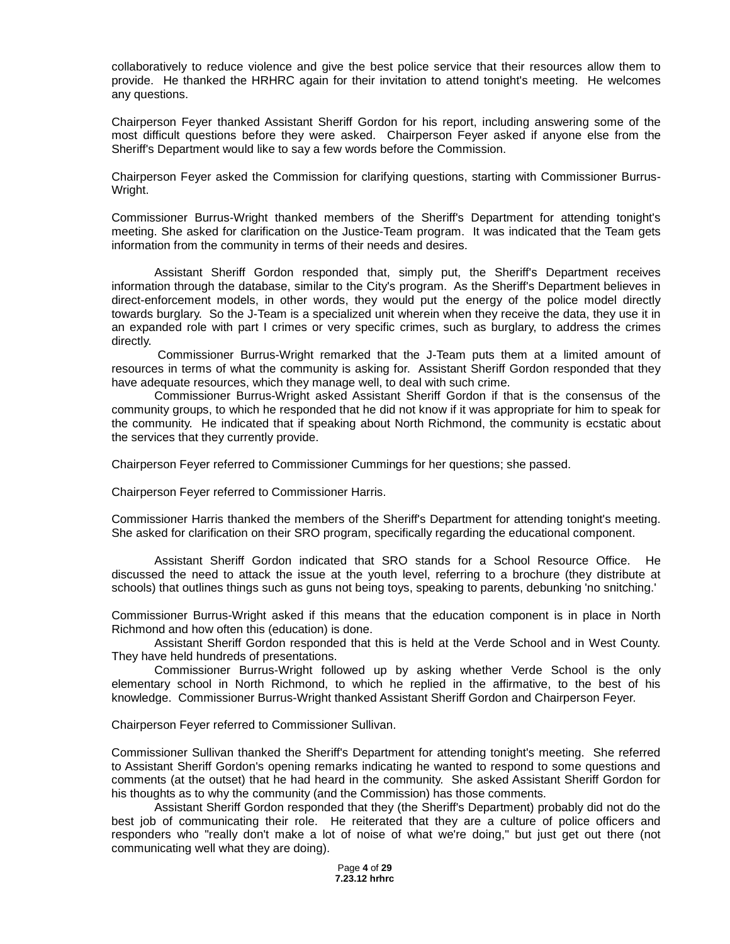collaboratively to reduce violence and give the best police service that their resources allow them to provide. He thanked the HRHRC again for their invitation to attend tonight's meeting. He welcomes any questions.

Chairperson Feyer thanked Assistant Sheriff Gordon for his report, including answering some of the most difficult questions before they were asked. Chairperson Feyer asked if anyone else from the Sheriff's Department would like to say a few words before the Commission.

Chairperson Feyer asked the Commission for clarifying questions, starting with Commissioner Burrus-Wright.

Commissioner Burrus-Wright thanked members of the Sheriff's Department for attending tonight's meeting. She asked for clarification on the Justice-Team program. It was indicated that the Team gets information from the community in terms of their needs and desires.

Assistant Sheriff Gordon responded that, simply put, the Sheriff's Department receives information through the database, similar to the City's program. As the Sheriff's Department believes in direct-enforcement models, in other words, they would put the energy of the police model directly towards burglary. So the J-Team is a specialized unit wherein when they receive the data, they use it in an expanded role with part I crimes or very specific crimes, such as burglary, to address the crimes directly.

Commissioner Burrus-Wright remarked that the J-Team puts them at a limited amount of resources in terms of what the community is asking for. Assistant Sheriff Gordon responded that they have adequate resources, which they manage well, to deal with such crime.

Commissioner Burrus-Wright asked Assistant Sheriff Gordon if that is the consensus of the community groups, to which he responded that he did not know if it was appropriate for him to speak for the community. He indicated that if speaking about North Richmond, the community is ecstatic about the services that they currently provide.

Chairperson Feyer referred to Commissioner Cummings for her questions; she passed.

Chairperson Feyer referred to Commissioner Harris.

Commissioner Harris thanked the members of the Sheriff's Department for attending tonight's meeting. She asked for clarification on their SRO program, specifically regarding the educational component.

Assistant Sheriff Gordon indicated that SRO stands for a School Resource Office. He discussed the need to attack the issue at the youth level, referring to a brochure (they distribute at schools) that outlines things such as guns not being toys, speaking to parents, debunking 'no snitching.'

Commissioner Burrus-Wright asked if this means that the education component is in place in North Richmond and how often this (education) is done.

Assistant Sheriff Gordon responded that this is held at the Verde School and in West County. They have held hundreds of presentations.

Commissioner Burrus-Wright followed up by asking whether Verde School is the only elementary school in North Richmond, to which he replied in the affirmative, to the best of his knowledge. Commissioner Burrus-Wright thanked Assistant Sheriff Gordon and Chairperson Feyer.

Chairperson Feyer referred to Commissioner Sullivan.

Commissioner Sullivan thanked the Sheriff's Department for attending tonight's meeting. She referred to Assistant Sheriff Gordon's opening remarks indicating he wanted to respond to some questions and comments (at the outset) that he had heard in the community. She asked Assistant Sheriff Gordon for his thoughts as to why the community (and the Commission) has those comments.

Assistant Sheriff Gordon responded that they (the Sheriff's Department) probably did not do the best job of communicating their role. He reiterated that they are a culture of police officers and responders who "really don't make a lot of noise of what we're doing," but just get out there (not communicating well what they are doing).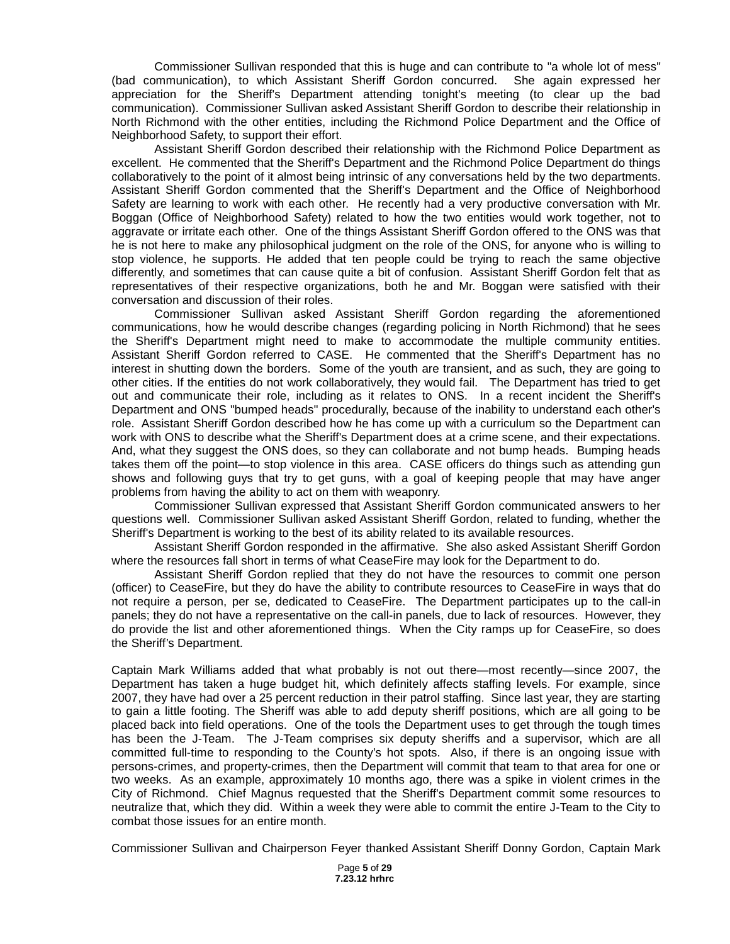Commissioner Sullivan responded that this is huge and can contribute to "a whole lot of mess" (bad communication), to which Assistant Sheriff Gordon concurred. She again expressed her appreciation for the Sheriff's Department attending tonight's meeting (to clear up the bad communication). Commissioner Sullivan asked Assistant Sheriff Gordon to describe their relationship in North Richmond with the other entities, including the Richmond Police Department and the Office of Neighborhood Safety, to support their effort.

Assistant Sheriff Gordon described their relationship with the Richmond Police Department as excellent. He commented that the Sheriff's Department and the Richmond Police Department do things collaboratively to the point of it almost being intrinsic of any conversations held by the two departments. Assistant Sheriff Gordon commented that the Sheriff's Department and the Office of Neighborhood Safety are learning to work with each other. He recently had a very productive conversation with Mr. Boggan (Office of Neighborhood Safety) related to how the two entities would work together, not to aggravate or irritate each other. One of the things Assistant Sheriff Gordon offered to the ONS was that he is not here to make any philosophical judgment on the role of the ONS, for anyone who is willing to stop violence, he supports. He added that ten people could be trying to reach the same objective differently, and sometimes that can cause quite a bit of confusion. Assistant Sheriff Gordon felt that as representatives of their respective organizations, both he and Mr. Boggan were satisfied with their conversation and discussion of their roles.

Commissioner Sullivan asked Assistant Sheriff Gordon regarding the aforementioned communications, how he would describe changes (regarding policing in North Richmond) that he sees the Sheriff's Department might need to make to accommodate the multiple community entities. Assistant Sheriff Gordon referred to CASE. He commented that the Sheriff's Department has no interest in shutting down the borders. Some of the youth are transient, and as such, they are going to other cities. If the entities do not work collaboratively, they would fail. The Department has tried to get out and communicate their role, including as it relates to ONS. In a recent incident the Sheriff's Department and ONS "bumped heads" procedurally, because of the inability to understand each other's role. Assistant Sheriff Gordon described how he has come up with a curriculum so the Department can work with ONS to describe what the Sheriff's Department does at a crime scene, and their expectations. And, what they suggest the ONS does, so they can collaborate and not bump heads. Bumping heads takes them off the point—to stop violence in this area. CASE officers do things such as attending gun shows and following guys that try to get guns, with a goal of keeping people that may have anger problems from having the ability to act on them with weaponry.

Commissioner Sullivan expressed that Assistant Sheriff Gordon communicated answers to her questions well. Commissioner Sullivan asked Assistant Sheriff Gordon, related to funding, whether the Sheriff's Department is working to the best of its ability related to its available resources.

Assistant Sheriff Gordon responded in the affirmative. She also asked Assistant Sheriff Gordon where the resources fall short in terms of what CeaseFire may look for the Department to do.

Assistant Sheriff Gordon replied that they do not have the resources to commit one person (officer) to CeaseFire, but they do have the ability to contribute resources to CeaseFire in ways that do not require a person, per se, dedicated to CeaseFire. The Department participates up to the call-in panels; they do not have a representative on the call-in panels, due to lack of resources. However, they do provide the list and other aforementioned things. When the City ramps up for CeaseFire, so does the Sheriff's Department.

Captain Mark Williams added that what probably is not out there—most recently—since 2007, the Department has taken a huge budget hit, which definitely affects staffing levels. For example, since 2007, they have had over a 25 percent reduction in their patrol staffing. Since last year, they are starting to gain a little footing. The Sheriff was able to add deputy sheriff positions, which are all going to be placed back into field operations. One of the tools the Department uses to get through the tough times has been the J-Team. The J-Team comprises six deputy sheriffs and a supervisor, which are all committed full-time to responding to the County's hot spots. Also, if there is an ongoing issue with persons-crimes, and property-crimes, then the Department will commit that team to that area for one or two weeks. As an example, approximately 10 months ago, there was a spike in violent crimes in the City of Richmond. Chief Magnus requested that the Sheriff's Department commit some resources to neutralize that, which they did. Within a week they were able to commit the entire J-Team to the City to combat those issues for an entire month.

Commissioner Sullivan and Chairperson Feyer thanked Assistant Sheriff Donny Gordon, Captain Mark

Page **5** of **29 7.23.12 hrhrc**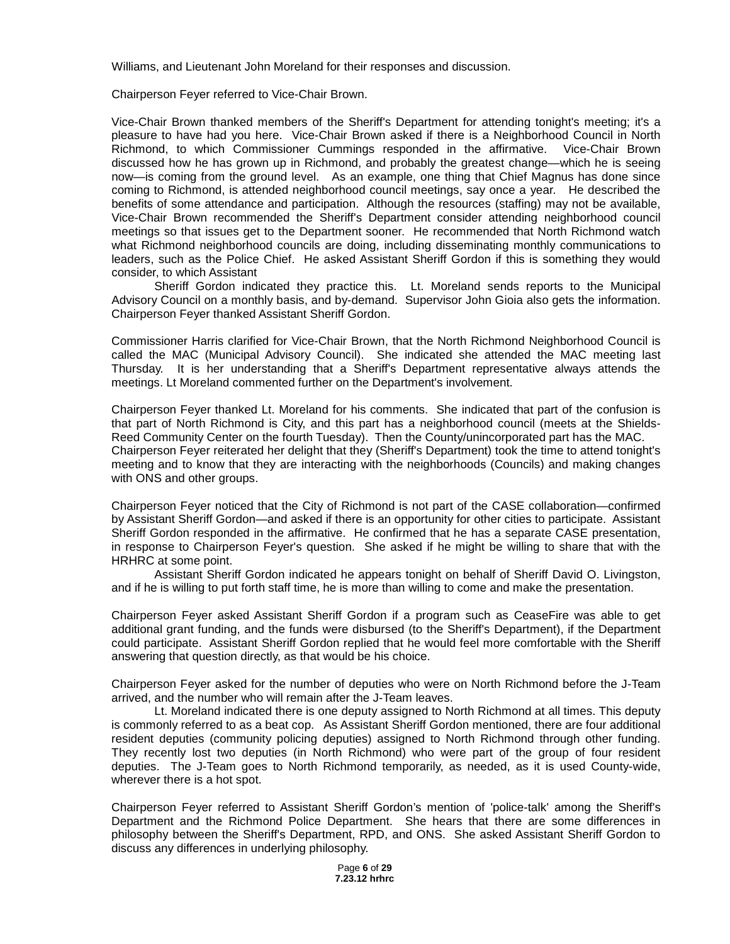Williams, and Lieutenant John Moreland for their responses and discussion.

Chairperson Feyer referred to Vice-Chair Brown.

Vice-Chair Brown thanked members of the Sheriff's Department for attending tonight's meeting; it's a pleasure to have had you here. Vice-Chair Brown asked if there is a Neighborhood Council in North Richmond, to which Commissioner Cummings responded in the affirmative. Vice-Chair Brown discussed how he has grown up in Richmond, and probably the greatest change—which he is seeing now—is coming from the ground level. As an example, one thing that Chief Magnus has done since coming to Richmond, is attended neighborhood council meetings, say once a year. He described the benefits of some attendance and participation. Although the resources (staffing) may not be available, Vice-Chair Brown recommended the Sheriff's Department consider attending neighborhood council meetings so that issues get to the Department sooner. He recommended that North Richmond watch what Richmond neighborhood councils are doing, including disseminating monthly communications to leaders, such as the Police Chief. He asked Assistant Sheriff Gordon if this is something they would consider, to which Assistant

Sheriff Gordon indicated they practice this. Lt. Moreland sends reports to the Municipal Advisory Council on a monthly basis, and by-demand. Supervisor John Gioia also gets the information. Chairperson Feyer thanked Assistant Sheriff Gordon.

Commissioner Harris clarified for Vice-Chair Brown, that the North Richmond Neighborhood Council is called the MAC (Municipal Advisory Council). She indicated she attended the MAC meeting last Thursday. It is her understanding that a Sheriff's Department representative always attends the meetings. Lt Moreland commented further on the Department's involvement.

Chairperson Feyer thanked Lt. Moreland for his comments. She indicated that part of the confusion is that part of North Richmond is City, and this part has a neighborhood council (meets at the Shields-Reed Community Center on the fourth Tuesday). Then the County/unincorporated part has the MAC. Chairperson Feyer reiterated her delight that they (Sheriff's Department) took the time to attend tonight's meeting and to know that they are interacting with the neighborhoods (Councils) and making changes with ONS and other groups.

Chairperson Feyer noticed that the City of Richmond is not part of the CASE collaboration—confirmed by Assistant Sheriff Gordon—and asked if there is an opportunity for other cities to participate. Assistant Sheriff Gordon responded in the affirmative. He confirmed that he has a separate CASE presentation, in response to Chairperson Feyer's question. She asked if he might be willing to share that with the HRHRC at some point.

Assistant Sheriff Gordon indicated he appears tonight on behalf of Sheriff David O. Livingston, and if he is willing to put forth staff time, he is more than willing to come and make the presentation.

Chairperson Feyer asked Assistant Sheriff Gordon if a program such as CeaseFire was able to get additional grant funding, and the funds were disbursed (to the Sheriff's Department), if the Department could participate. Assistant Sheriff Gordon replied that he would feel more comfortable with the Sheriff answering that question directly, as that would be his choice.

Chairperson Feyer asked for the number of deputies who were on North Richmond before the J-Team arrived, and the number who will remain after the J-Team leaves.

Lt. Moreland indicated there is one deputy assigned to North Richmond at all times. This deputy is commonly referred to as a beat cop. As Assistant Sheriff Gordon mentioned, there are four additional resident deputies (community policing deputies) assigned to North Richmond through other funding. They recently lost two deputies (in North Richmond) who were part of the group of four resident deputies. The J-Team goes to North Richmond temporarily, as needed, as it is used County-wide, wherever there is a hot spot.

Chairperson Feyer referred to Assistant Sheriff Gordon's mention of 'police-talk' among the Sheriff's Department and the Richmond Police Department. She hears that there are some differences in philosophy between the Sheriff's Department, RPD, and ONS. She asked Assistant Sheriff Gordon to discuss any differences in underlying philosophy.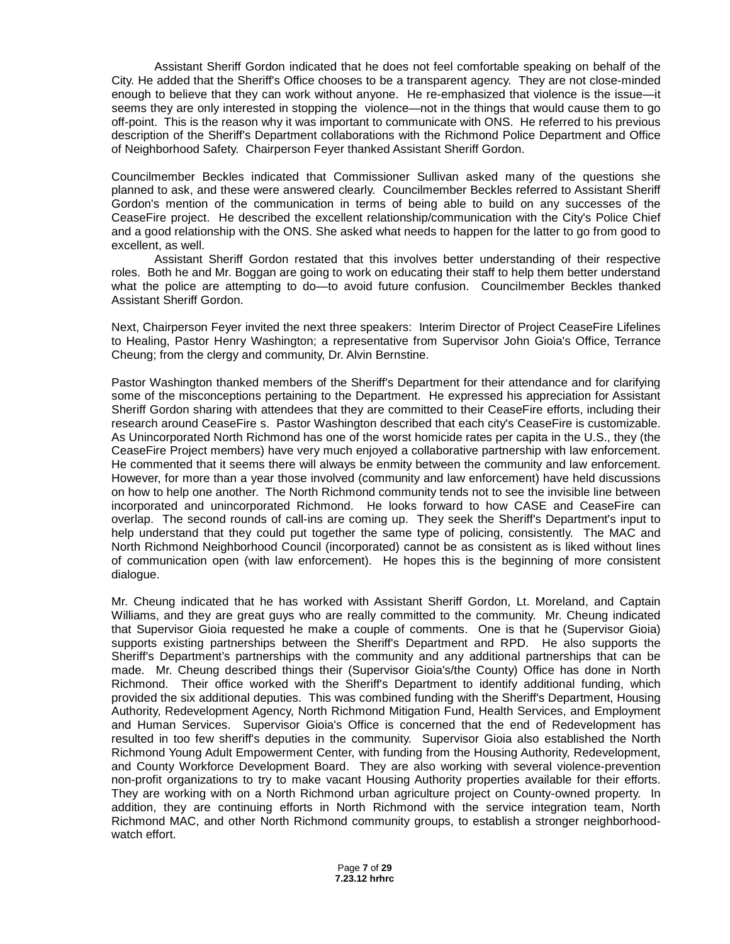Assistant Sheriff Gordon indicated that he does not feel comfortable speaking on behalf of the City. He added that the Sheriff's Office chooses to be a transparent agency. They are not close-minded enough to believe that they can work without anyone. He re-emphasized that violence is the issue—it seems they are only interested in stopping the violence—not in the things that would cause them to go off-point. This is the reason why it was important to communicate with ONS. He referred to his previous description of the Sheriff's Department collaborations with the Richmond Police Department and Office of Neighborhood Safety. Chairperson Feyer thanked Assistant Sheriff Gordon.

Councilmember Beckles indicated that Commissioner Sullivan asked many of the questions she planned to ask, and these were answered clearly. Councilmember Beckles referred to Assistant Sheriff Gordon's mention of the communication in terms of being able to build on any successes of the CeaseFire project. He described the excellent relationship/communication with the City's Police Chief and a good relationship with the ONS. She asked what needs to happen for the latter to go from good to excellent, as well.

Assistant Sheriff Gordon restated that this involves better understanding of their respective roles. Both he and Mr. Boggan are going to work on educating their staff to help them better understand what the police are attempting to do—to avoid future confusion. Councilmember Beckles thanked Assistant Sheriff Gordon.

Next, Chairperson Feyer invited the next three speakers: Interim Director of Project CeaseFire Lifelines to Healing, Pastor Henry Washington; a representative from Supervisor John Gioia's Office, Terrance Cheung; from the clergy and community, Dr. Alvin Bernstine.

Pastor Washington thanked members of the Sheriff's Department for their attendance and for clarifying some of the misconceptions pertaining to the Department. He expressed his appreciation for Assistant Sheriff Gordon sharing with attendees that they are committed to their CeaseFire efforts, including their research around CeaseFire s. Pastor Washington described that each city's CeaseFire is customizable. As Unincorporated North Richmond has one of the worst homicide rates per capita in the U.S., they (the CeaseFire Project members) have very much enjoyed a collaborative partnership with law enforcement. He commented that it seems there will always be enmity between the community and law enforcement. However, for more than a year those involved (community and law enforcement) have held discussions on how to help one another. The North Richmond community tends not to see the invisible line between incorporated and unincorporated Richmond. He looks forward to how CASE and CeaseFire can overlap. The second rounds of call-ins are coming up. They seek the Sheriff's Department's input to help understand that they could put together the same type of policing, consistently. The MAC and North Richmond Neighborhood Council (incorporated) cannot be as consistent as is liked without lines of communication open (with law enforcement). He hopes this is the beginning of more consistent dialogue.

Mr. Cheung indicated that he has worked with Assistant Sheriff Gordon, Lt. Moreland, and Captain Williams, and they are great guys who are really committed to the community. Mr. Cheung indicated that Supervisor Gioia requested he make a couple of comments. One is that he (Supervisor Gioia) supports existing partnerships between the Sheriff's Department and RPD. He also supports the Sheriff's Department's partnerships with the community and any additional partnerships that can be made. Mr. Cheung described things their (Supervisor Gioia's/the County) Office has done in North Richmond. Their office worked with the Sheriff's Department to identify additional funding, which provided the six additional deputies. This was combined funding with the Sheriff's Department, Housing Authority, Redevelopment Agency, North Richmond Mitigation Fund, Health Services, and Employment and Human Services. Supervisor Gioia's Office is concerned that the end of Redevelopment has resulted in too few sheriff's deputies in the community. Supervisor Gioia also established the North Richmond Young Adult Empowerment Center, with funding from the Housing Authority, Redevelopment, and County Workforce Development Board. They are also working with several violence-prevention non-profit organizations to try to make vacant Housing Authority properties available for their efforts. They are working with on a North Richmond urban agriculture project on County-owned property. In addition, they are continuing efforts in North Richmond with the service integration team, North Richmond MAC, and other North Richmond community groups, to establish a stronger neighborhoodwatch effort.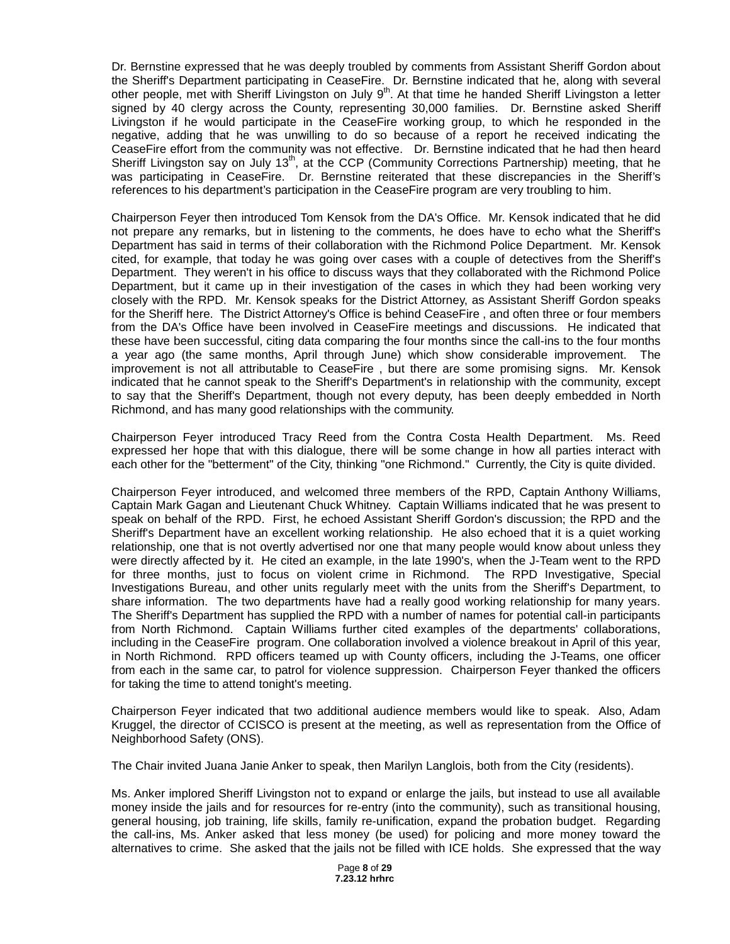Dr. Bernstine expressed that he was deeply troubled by comments from Assistant Sheriff Gordon about the Sheriff's Department participating in CeaseFire. Dr. Bernstine indicated that he, along with several other people, met with Sheriff Livingston on July 9<sup>th</sup>. At that time he handed Sheriff Livingston a letter signed by 40 clergy across the County, representing 30,000 families. Dr. Bernstine asked Sheriff Livingston if he would participate in the CeaseFire working group, to which he responded in the negative, adding that he was unwilling to do so because of a report he received indicating the CeaseFire effort from the community was not effective. Dr. Bernstine indicated that he had then heard Sheriff Livingston say on July 13<sup>th</sup>, at the CCP (Community Corrections Partnership) meeting, that he was participating in CeaseFire. Dr. Bernstine reiterated that these discrepancies in the Sheriff's references to his department's participation in the CeaseFire program are very troubling to him.

Chairperson Feyer then introduced Tom Kensok from the DA's Office. Mr. Kensok indicated that he did not prepare any remarks, but in listening to the comments, he does have to echo what the Sheriff's Department has said in terms of their collaboration with the Richmond Police Department. Mr. Kensok cited, for example, that today he was going over cases with a couple of detectives from the Sheriff's Department. They weren't in his office to discuss ways that they collaborated with the Richmond Police Department, but it came up in their investigation of the cases in which they had been working very closely with the RPD. Mr. Kensok speaks for the District Attorney, as Assistant Sheriff Gordon speaks for the Sheriff here. The District Attorney's Office is behind CeaseFire , and often three or four members from the DA's Office have been involved in CeaseFire meetings and discussions. He indicated that these have been successful, citing data comparing the four months since the call-ins to the four months a year ago (the same months, April through June) which show considerable improvement. The improvement is not all attributable to CeaseFire , but there are some promising signs. Mr. Kensok indicated that he cannot speak to the Sheriff's Department's in relationship with the community, except to say that the Sheriff's Department, though not every deputy, has been deeply embedded in North Richmond, and has many good relationships with the community.

Chairperson Feyer introduced Tracy Reed from the Contra Costa Health Department. Ms. Reed expressed her hope that with this dialogue, there will be some change in how all parties interact with each other for the "betterment" of the City, thinking "one Richmond." Currently, the City is quite divided.

Chairperson Feyer introduced, and welcomed three members of the RPD, Captain Anthony Williams, Captain Mark Gagan and Lieutenant Chuck Whitney. Captain Williams indicated that he was present to speak on behalf of the RPD. First, he echoed Assistant Sheriff Gordon's discussion; the RPD and the Sheriff's Department have an excellent working relationship. He also echoed that it is a quiet working relationship, one that is not overtly advertised nor one that many people would know about unless they were directly affected by it. He cited an example, in the late 1990's, when the J-Team went to the RPD for three months, just to focus on violent crime in Richmond. The RPD Investigative, Special Investigations Bureau, and other units regularly meet with the units from the Sheriff's Department, to share information. The two departments have had a really good working relationship for many years. The Sheriff's Department has supplied the RPD with a number of names for potential call-in participants from North Richmond. Captain Williams further cited examples of the departments' collaborations, including in the CeaseFire program. One collaboration involved a violence breakout in April of this year, in North Richmond. RPD officers teamed up with County officers, including the J-Teams, one officer from each in the same car, to patrol for violence suppression. Chairperson Feyer thanked the officers for taking the time to attend tonight's meeting.

Chairperson Feyer indicated that two additional audience members would like to speak. Also, Adam Kruggel, the director of CCISCO is present at the meeting, as well as representation from the Office of Neighborhood Safety (ONS).

The Chair invited Juana Janie Anker to speak, then Marilyn Langlois, both from the City (residents).

Ms. Anker implored Sheriff Livingston not to expand or enlarge the jails, but instead to use all available money inside the jails and for resources for re-entry (into the community), such as transitional housing, general housing, job training, life skills, family re-unification, expand the probation budget. Regarding the call-ins, Ms. Anker asked that less money (be used) for policing and more money toward the alternatives to crime. She asked that the jails not be filled with ICE holds. She expressed that the way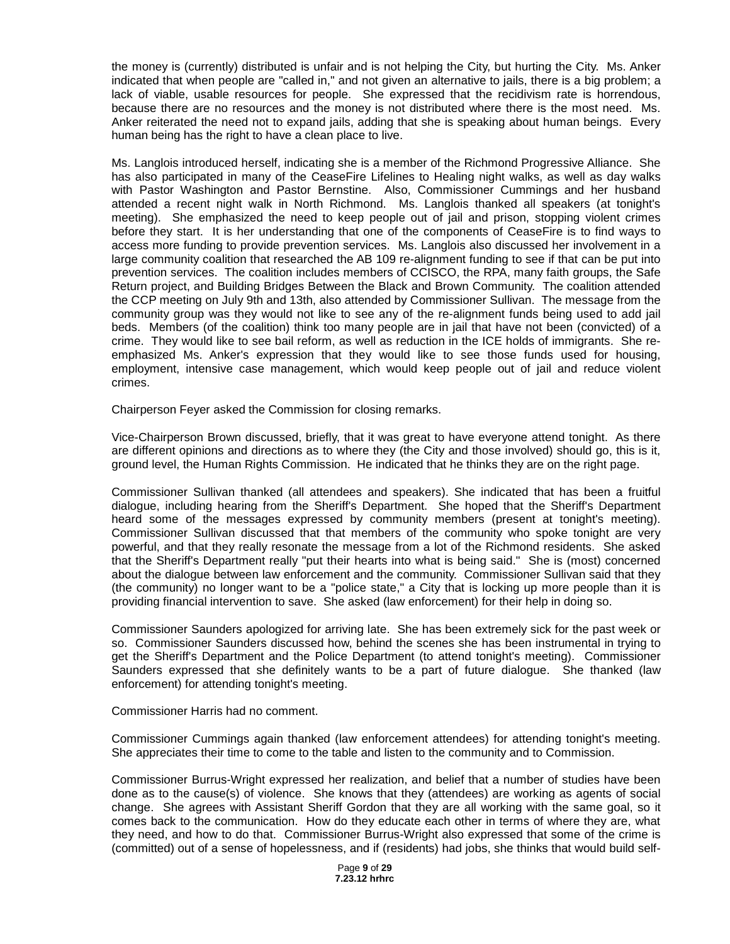the money is (currently) distributed is unfair and is not helping the City, but hurting the City. Ms. Anker indicated that when people are "called in," and not given an alternative to jails, there is a big problem; a lack of viable, usable resources for people. She expressed that the recidivism rate is horrendous, because there are no resources and the money is not distributed where there is the most need. Ms. Anker reiterated the need not to expand jails, adding that she is speaking about human beings. Every human being has the right to have a clean place to live.

Ms. Langlois introduced herself, indicating she is a member of the Richmond Progressive Alliance. She has also participated in many of the CeaseFire Lifelines to Healing night walks, as well as day walks with Pastor Washington and Pastor Bernstine. Also, Commissioner Cummings and her husband attended a recent night walk in North Richmond. Ms. Langlois thanked all speakers (at tonight's meeting). She emphasized the need to keep people out of jail and prison, stopping violent crimes before they start. It is her understanding that one of the components of CeaseFire is to find ways to access more funding to provide prevention services. Ms. Langlois also discussed her involvement in a large community coalition that researched the AB 109 re-alignment funding to see if that can be put into prevention services. The coalition includes members of CCISCO, the RPA, many faith groups, the Safe Return project, and Building Bridges Between the Black and Brown Community. The coalition attended the CCP meeting on July 9th and 13th, also attended by Commissioner Sullivan. The message from the community group was they would not like to see any of the re-alignment funds being used to add jail beds. Members (of the coalition) think too many people are in jail that have not been (convicted) of a crime. They would like to see bail reform, as well as reduction in the ICE holds of immigrants. She reemphasized Ms. Anker's expression that they would like to see those funds used for housing, employment, intensive case management, which would keep people out of jail and reduce violent crimes.

Chairperson Feyer asked the Commission for closing remarks.

Vice-Chairperson Brown discussed, briefly, that it was great to have everyone attend tonight. As there are different opinions and directions as to where they (the City and those involved) should go, this is it, ground level, the Human Rights Commission. He indicated that he thinks they are on the right page.

Commissioner Sullivan thanked (all attendees and speakers). She indicated that has been a fruitful dialogue, including hearing from the Sheriff's Department. She hoped that the Sheriff's Department heard some of the messages expressed by community members (present at tonight's meeting). Commissioner Sullivan discussed that that members of the community who spoke tonight are very powerful, and that they really resonate the message from a lot of the Richmond residents. She asked that the Sheriff's Department really "put their hearts into what is being said." She is (most) concerned about the dialogue between law enforcement and the community. Commissioner Sullivan said that they (the community) no longer want to be a "police state," a City that is locking up more people than it is providing financial intervention to save. She asked (law enforcement) for their help in doing so.

Commissioner Saunders apologized for arriving late. She has been extremely sick for the past week or so. Commissioner Saunders discussed how, behind the scenes she has been instrumental in trying to get the Sheriff's Department and the Police Department (to attend tonight's meeting). Commissioner Saunders expressed that she definitely wants to be a part of future dialogue. She thanked (law enforcement) for attending tonight's meeting.

Commissioner Harris had no comment.

Commissioner Cummings again thanked (law enforcement attendees) for attending tonight's meeting. She appreciates their time to come to the table and listen to the community and to Commission.

Commissioner Burrus-Wright expressed her realization, and belief that a number of studies have been done as to the cause(s) of violence. She knows that they (attendees) are working as agents of social change. She agrees with Assistant Sheriff Gordon that they are all working with the same goal, so it comes back to the communication. How do they educate each other in terms of where they are, what they need, and how to do that. Commissioner Burrus-Wright also expressed that some of the crime is (committed) out of a sense of hopelessness, and if (residents) had jobs, she thinks that would build self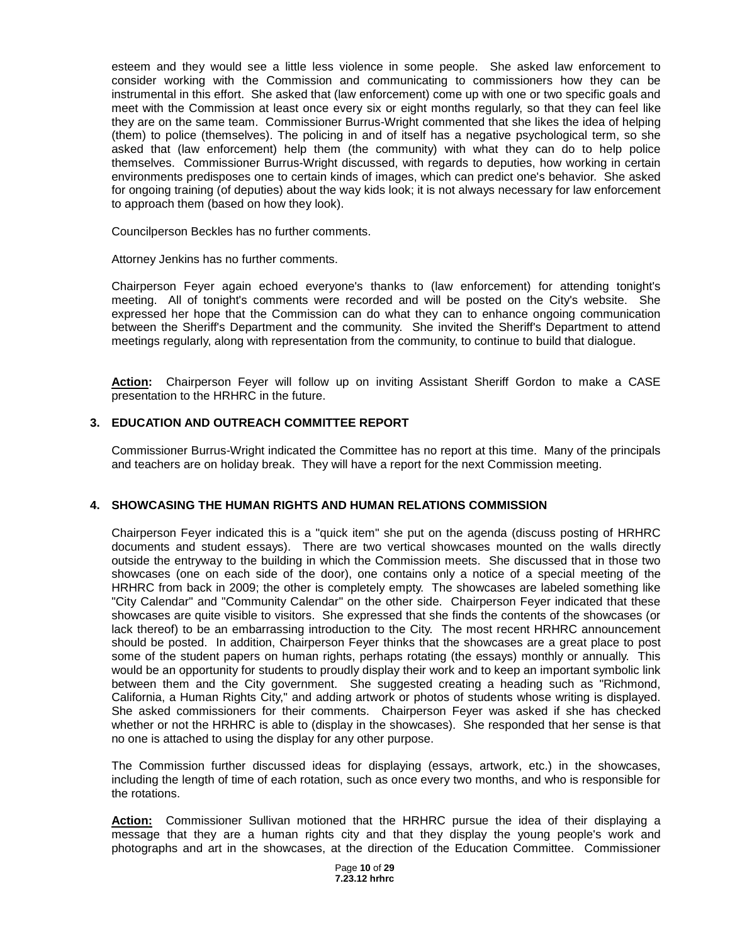esteem and they would see a little less violence in some people. She asked law enforcement to consider working with the Commission and communicating to commissioners how they can be instrumental in this effort. She asked that (law enforcement) come up with one or two specific goals and meet with the Commission at least once every six or eight months regularly, so that they can feel like they are on the same team. Commissioner Burrus-Wright commented that she likes the idea of helping (them) to police (themselves). The policing in and of itself has a negative psychological term, so she asked that (law enforcement) help them (the community) with what they can do to help police themselves. Commissioner Burrus-Wright discussed, with regards to deputies, how working in certain environments predisposes one to certain kinds of images, which can predict one's behavior. She asked for ongoing training (of deputies) about the way kids look; it is not always necessary for law enforcement to approach them (based on how they look).

Councilperson Beckles has no further comments.

Attorney Jenkins has no further comments.

Chairperson Feyer again echoed everyone's thanks to (law enforcement) for attending tonight's meeting. All of tonight's comments were recorded and will be posted on the City's website. She expressed her hope that the Commission can do what they can to enhance ongoing communication between the Sheriff's Department and the community. She invited the Sheriff's Department to attend meetings regularly, along with representation from the community, to continue to build that dialogue.

**Action:** Chairperson Feyer will follow up on inviting Assistant Sheriff Gordon to make a CASE presentation to the HRHRC in the future.

### **3. EDUCATION AND OUTREACH COMMITTEE REPORT**

Commissioner Burrus-Wright indicated the Committee has no report at this time. Many of the principals and teachers are on holiday break. They will have a report for the next Commission meeting.

### **4. SHOWCASING THE HUMAN RIGHTS AND HUMAN RELATIONS COMMISSION**

Chairperson Feyer indicated this is a "quick item" she put on the agenda (discuss posting of HRHRC documents and student essays). There are two vertical showcases mounted on the walls directly outside the entryway to the building in which the Commission meets. She discussed that in those two showcases (one on each side of the door), one contains only a notice of a special meeting of the HRHRC from back in 2009; the other is completely empty. The showcases are labeled something like "City Calendar" and "Community Calendar" on the other side. Chairperson Feyer indicated that these showcases are quite visible to visitors. She expressed that she finds the contents of the showcases (or lack thereof) to be an embarrassing introduction to the City. The most recent HRHRC announcement should be posted. In addition, Chairperson Feyer thinks that the showcases are a great place to post some of the student papers on human rights, perhaps rotating (the essays) monthly or annually. This would be an opportunity for students to proudly display their work and to keep an important symbolic link between them and the City government. She suggested creating a heading such as "Richmond, California, a Human Rights City," and adding artwork or photos of students whose writing is displayed. She asked commissioners for their comments. Chairperson Feyer was asked if she has checked whether or not the HRHRC is able to (display in the showcases). She responded that her sense is that no one is attached to using the display for any other purpose.

The Commission further discussed ideas for displaying (essays, artwork, etc.) in the showcases, including the length of time of each rotation, such as once every two months, and who is responsible for the rotations.

**Action:** Commissioner Sullivan motioned that the HRHRC pursue the idea of their displaying a message that they are a human rights city and that they display the young people's work and photographs and art in the showcases, at the direction of the Education Committee. Commissioner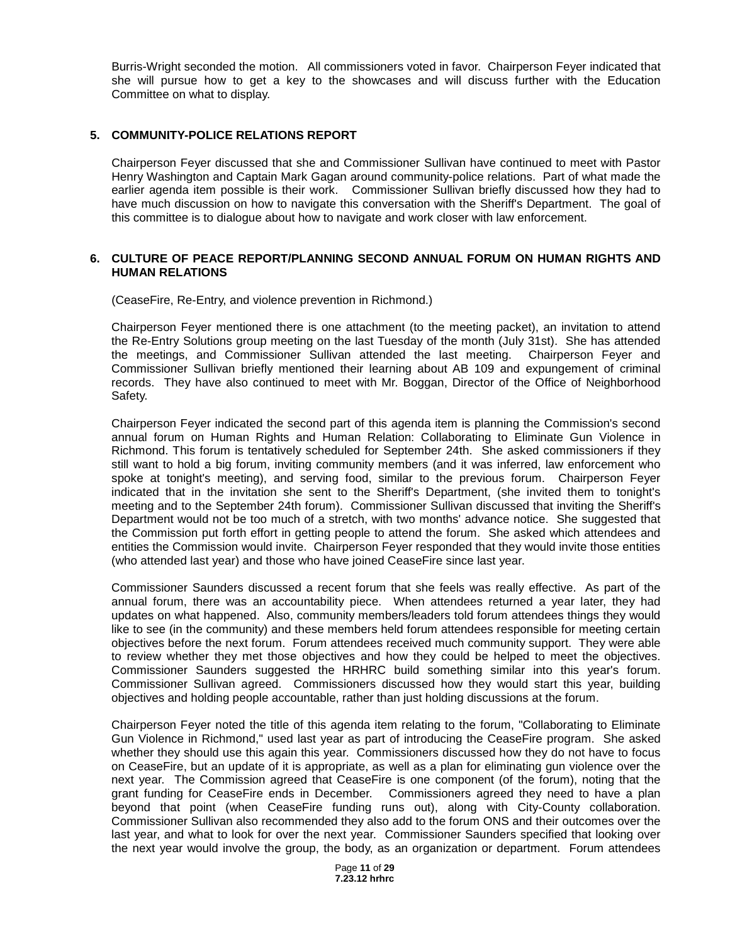Burris-Wright seconded the motion. All commissioners voted in favor. Chairperson Feyer indicated that she will pursue how to get a key to the showcases and will discuss further with the Education Committee on what to display.

### **5. COMMUNITY-POLICE RELATIONS REPORT**

Chairperson Feyer discussed that she and Commissioner Sullivan have continued to meet with Pastor Henry Washington and Captain Mark Gagan around community-police relations. Part of what made the earlier agenda item possible is their work. Commissioner Sullivan briefly discussed how they had to have much discussion on how to navigate this conversation with the Sheriff's Department. The goal of this committee is to dialogue about how to navigate and work closer with law enforcement.

### **6. CULTURE OF PEACE REPORT/PLANNING SECOND ANNUAL FORUM ON HUMAN RIGHTS AND HUMAN RELATIONS**

(CeaseFire, Re-Entry, and violence prevention in Richmond.)

Chairperson Feyer mentioned there is one attachment (to the meeting packet), an invitation to attend the Re-Entry Solutions group meeting on the last Tuesday of the month (July 31st). She has attended the meetings, and Commissioner Sullivan attended the last meeting. Chairperson Feyer and Commissioner Sullivan briefly mentioned their learning about AB 109 and expungement of criminal records. They have also continued to meet with Mr. Boggan, Director of the Office of Neighborhood Safety.

Chairperson Feyer indicated the second part of this agenda item is planning the Commission's second annual forum on Human Rights and Human Relation: Collaborating to Eliminate Gun Violence in Richmond. This forum is tentatively scheduled for September 24th. She asked commissioners if they still want to hold a big forum, inviting community members (and it was inferred, law enforcement who spoke at tonight's meeting), and serving food, similar to the previous forum. Chairperson Feyer indicated that in the invitation she sent to the Sheriff's Department, (she invited them to tonight's meeting and to the September 24th forum). Commissioner Sullivan discussed that inviting the Sheriff's Department would not be too much of a stretch, with two months' advance notice. She suggested that the Commission put forth effort in getting people to attend the forum. She asked which attendees and entities the Commission would invite. Chairperson Feyer responded that they would invite those entities (who attended last year) and those who have joined CeaseFire since last year.

Commissioner Saunders discussed a recent forum that she feels was really effective. As part of the annual forum, there was an accountability piece. When attendees returned a year later, they had updates on what happened. Also, community members/leaders told forum attendees things they would like to see (in the community) and these members held forum attendees responsible for meeting certain objectives before the next forum. Forum attendees received much community support. They were able to review whether they met those objectives and how they could be helped to meet the objectives. Commissioner Saunders suggested the HRHRC build something similar into this year's forum. Commissioner Sullivan agreed. Commissioners discussed how they would start this year, building objectives and holding people accountable, rather than just holding discussions at the forum.

Chairperson Feyer noted the title of this agenda item relating to the forum, "Collaborating to Eliminate Gun Violence in Richmond," used last year as part of introducing the CeaseFire program. She asked whether they should use this again this year. Commissioners discussed how they do not have to focus on CeaseFire, but an update of it is appropriate, as well as a plan for eliminating gun violence over the next year. The Commission agreed that CeaseFire is one component (of the forum), noting that the grant funding for CeaseFire ends in December. Commissioners agreed they need to have a plan beyond that point (when CeaseFire funding runs out), along with City-County collaboration. Commissioner Sullivan also recommended they also add to the forum ONS and their outcomes over the last year, and what to look for over the next year. Commissioner Saunders specified that looking over the next year would involve the group, the body, as an organization or department. Forum attendees

> Page **11** of **29 7.23.12 hrhrc**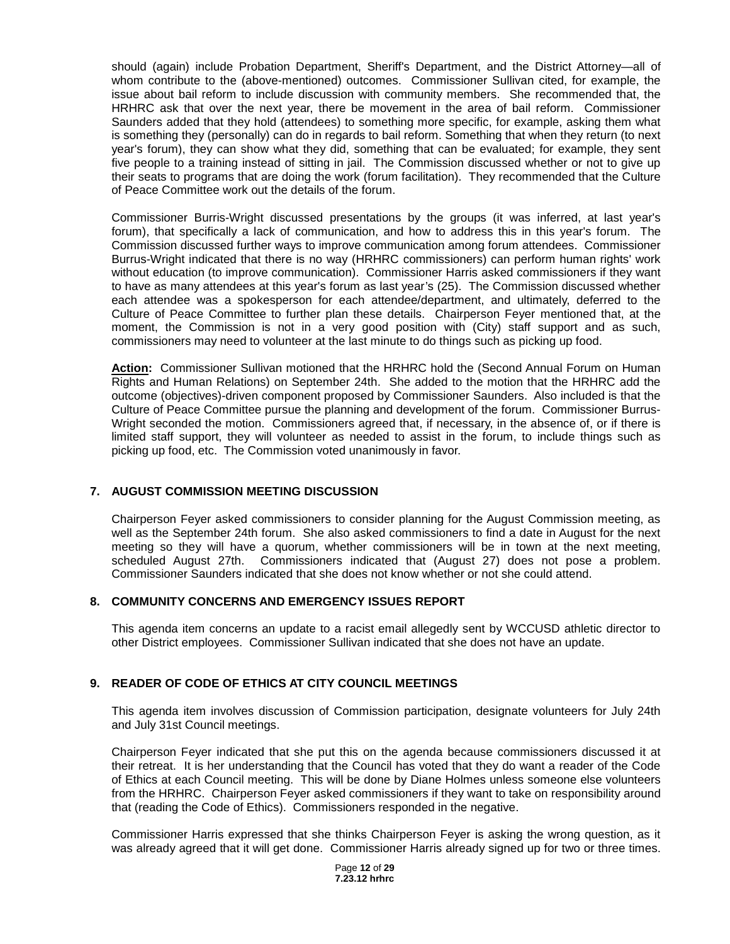should (again) include Probation Department, Sheriff's Department, and the District Attorney—all of whom contribute to the (above-mentioned) outcomes. Commissioner Sullivan cited, for example, the issue about bail reform to include discussion with community members. She recommended that, the HRHRC ask that over the next year, there be movement in the area of bail reform. Commissioner Saunders added that they hold (attendees) to something more specific, for example, asking them what is something they (personally) can do in regards to bail reform. Something that when they return (to next year's forum), they can show what they did, something that can be evaluated; for example, they sent five people to a training instead of sitting in jail. The Commission discussed whether or not to give up their seats to programs that are doing the work (forum facilitation). They recommended that the Culture of Peace Committee work out the details of the forum.

Commissioner Burris-Wright discussed presentations by the groups (it was inferred, at last year's forum), that specifically a lack of communication, and how to address this in this year's forum. The Commission discussed further ways to improve communication among forum attendees. Commissioner Burrus-Wright indicated that there is no way (HRHRC commissioners) can perform human rights' work without education (to improve communication). Commissioner Harris asked commissioners if they want to have as many attendees at this year's forum as last year's (25). The Commission discussed whether each attendee was a spokesperson for each attendee/department, and ultimately, deferred to the Culture of Peace Committee to further plan these details. Chairperson Feyer mentioned that, at the moment, the Commission is not in a very good position with (City) staff support and as such, commissioners may need to volunteer at the last minute to do things such as picking up food.

**Action:** Commissioner Sullivan motioned that the HRHRC hold the (Second Annual Forum on Human Rights and Human Relations) on September 24th. She added to the motion that the HRHRC add the outcome (objectives)-driven component proposed by Commissioner Saunders. Also included is that the Culture of Peace Committee pursue the planning and development of the forum. Commissioner Burrus-Wright seconded the motion. Commissioners agreed that, if necessary, in the absence of, or if there is limited staff support, they will volunteer as needed to assist in the forum, to include things such as picking up food, etc. The Commission voted unanimously in favor.

### **7. AUGUST COMMISSION MEETING DISCUSSION**

Chairperson Feyer asked commissioners to consider planning for the August Commission meeting, as well as the September 24th forum. She also asked commissioners to find a date in August for the next meeting so they will have a quorum, whether commissioners will be in town at the next meeting, scheduled August 27th. Commissioners indicated that (August 27) does not pose a problem. Commissioner Saunders indicated that she does not know whether or not she could attend.

### **8. COMMUNITY CONCERNS AND EMERGENCY ISSUES REPORT**

This agenda item concerns an update to a racist email allegedly sent by WCCUSD athletic director to other District employees. Commissioner Sullivan indicated that she does not have an update.

## **9. READER OF CODE OF ETHICS AT CITY COUNCIL MEETINGS**

This agenda item involves discussion of Commission participation, designate volunteers for July 24th and July 31st Council meetings.

Chairperson Feyer indicated that she put this on the agenda because commissioners discussed it at their retreat. It is her understanding that the Council has voted that they do want a reader of the Code of Ethics at each Council meeting. This will be done by Diane Holmes unless someone else volunteers from the HRHRC. Chairperson Feyer asked commissioners if they want to take on responsibility around that (reading the Code of Ethics). Commissioners responded in the negative.

Commissioner Harris expressed that she thinks Chairperson Feyer is asking the wrong question, as it was already agreed that it will get done. Commissioner Harris already signed up for two or three times.

> Page **12** of **29 7.23.12 hrhrc**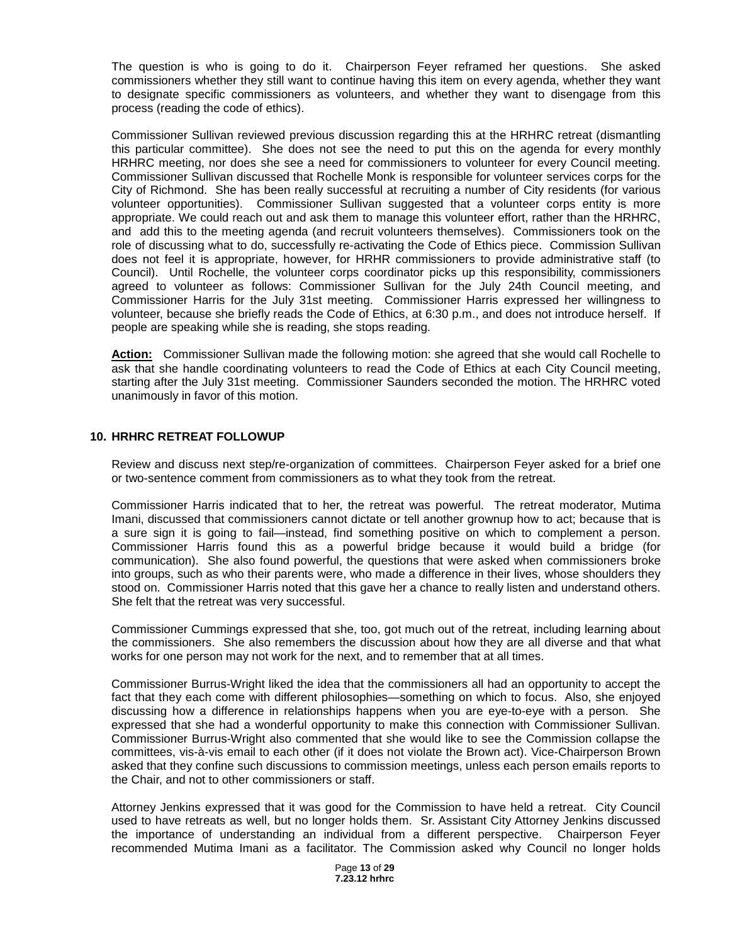The question is who is going to do it. Chairperson Feyer reframed her questions. She asked commissioners whether they still want to continue having this item on every agenda, whether they want to designate specific commissioners as volunteers, and whether they want to disengage from this process (reading the code of ethics).

Commissioner Sullivan reviewed previous discussion regarding this at the HRHRC retreat (dismantling this particular committee). She does not see the need to put this on the agenda for every monthly HRHRC meeting, nor does she see a need for commissioners to volunteer for every Council meeting. Commissioner Sullivan discussed that Rochelle Monk is responsible for volunteer services corps for the City of Richmond. She has been really successful at recruiting a number of City residents (for various volunteer opportunities). Commissioner Sullivan suggested that a volunteer corps entity is more appropriate. We could reach out and ask them to manage this volunteer effort, rather than the HRHRC, and add this to the meeting agenda (and recruit volunteers themselves). Commissioners took on the role of discussing what to do, successfully re-activating the Code of Ethics piece. Commission Sullivan does not feel it is appropriate, however, for HRHR commissioners to provide administrative staff (to Council). Until Rochelle, the volunteer corps coordinator picks up this responsibility, commissioners agreed to volunteer as follows: Commissioner Sullivan for the July 24th Council meeting, and Commissioner Harris for the July 31st meeting. Commissioner Harris expressed her willingness to volunteer, because she briefly reads the Code of Ethics, at 6:30 p.m., and does not introduce herself. If people are speaking while she is reading, she stops reading.

**Action:** Commissioner Sullivan made the following motion: she agreed that she would call Rochelle to ask that she handle coordinating volunteers to read the Code of Ethics at each City Council meeting, starting after the July 31st meeting. Commissioner Saunders seconded the motion. The HRHRC voted unanimously in favor of this motion.

### **10. HRHRC RETREAT FOLLOWUP**

Review and discuss next step/re-organization of committees. Chairperson Feyer asked for a brief one or two-sentence comment from commissioners as to what they took from the retreat.

Commissioner Harris indicated that to her, the retreat was powerful. The retreat moderator, Mutima Imani, discussed that commissioners cannot dictate or tell another grownup how to act; because that is a sure sign it is going to fail—instead, find something positive on which to complement a person. Commissioner Harris found this as a powerful bridge because it would build a bridge (for communication). She also found powerful, the questions that were asked when commissioners broke into groups, such as who their parents were, who made a difference in their lives, whose shoulders they stood on. Commissioner Harris noted that this gave her a chance to really listen and understand others. She felt that the retreat was very successful.

Commissioner Cummings expressed that she, too, got much out of the retreat, including learning about the commissioners. She also remembers the discussion about how they are all diverse and that what works for one person may not work for the next, and to remember that at all times.

Commissioner Burrus-Wright liked the idea that the commissioners all had an opportunity to accept the fact that they each come with different philosophies—something on which to focus. Also, she enjoyed discussing how a difference in relationships happens when you are eye-to-eye with a person. She expressed that she had a wonderful opportunity to make this connection with Commissioner Sullivan. Commissioner Burrus-Wright also commented that she would like to see the Commission collapse the committees, vis-à-vis email to each other (if it does not violate the Brown act). Vice-Chairperson Brown asked that they confine such discussions to commission meetings, unless each person emails reports to the Chair, and not to other commissioners or staff.

Attorney Jenkins expressed that it was good for the Commission to have held a retreat. City Council used to have retreats as well, but no longer holds them. Sr. Assistant City Attorney Jenkins discussed the importance of understanding an individual from a different perspective. Chairperson Feyer recommended Mutima Imani as a facilitator. The Commission asked why Council no longer holds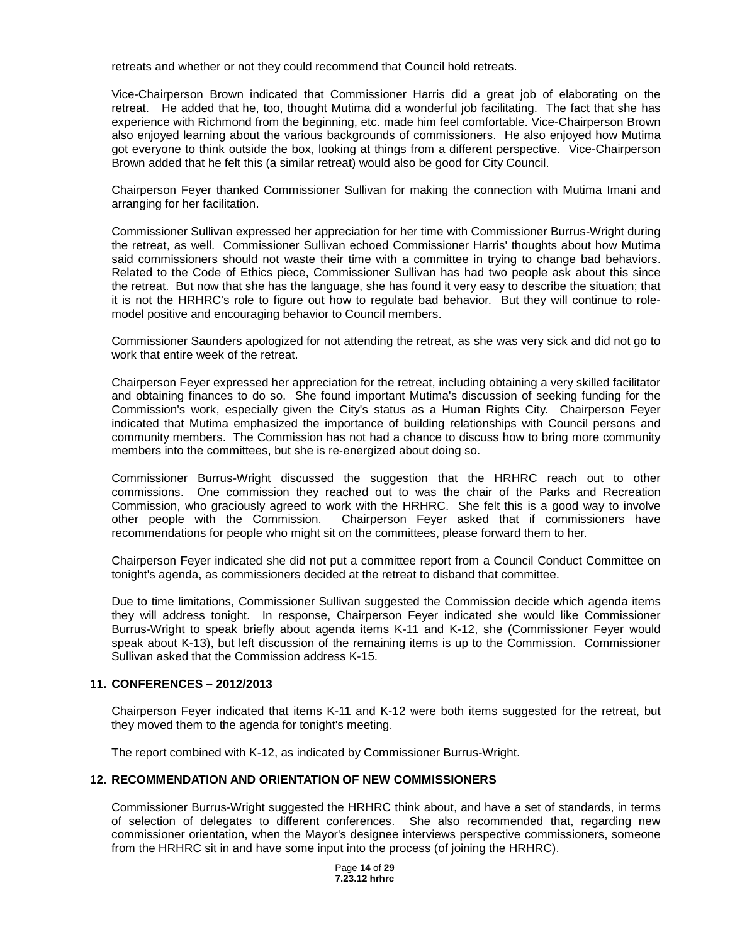retreats and whether or not they could recommend that Council hold retreats.

Vice-Chairperson Brown indicated that Commissioner Harris did a great job of elaborating on the retreat. He added that he, too, thought Mutima did a wonderful job facilitating. The fact that she has experience with Richmond from the beginning, etc. made him feel comfortable. Vice-Chairperson Brown also enjoyed learning about the various backgrounds of commissioners. He also enjoyed how Mutima got everyone to think outside the box, looking at things from a different perspective. Vice-Chairperson Brown added that he felt this (a similar retreat) would also be good for City Council.

Chairperson Feyer thanked Commissioner Sullivan for making the connection with Mutima Imani and arranging for her facilitation.

Commissioner Sullivan expressed her appreciation for her time with Commissioner Burrus-Wright during the retreat, as well. Commissioner Sullivan echoed Commissioner Harris' thoughts about how Mutima said commissioners should not waste their time with a committee in trying to change bad behaviors. Related to the Code of Ethics piece, Commissioner Sullivan has had two people ask about this since the retreat. But now that she has the language, she has found it very easy to describe the situation; that it is not the HRHRC's role to figure out how to regulate bad behavior. But they will continue to rolemodel positive and encouraging behavior to Council members.

Commissioner Saunders apologized for not attending the retreat, as she was very sick and did not go to work that entire week of the retreat.

Chairperson Feyer expressed her appreciation for the retreat, including obtaining a very skilled facilitator and obtaining finances to do so. She found important Mutima's discussion of seeking funding for the Commission's work, especially given the City's status as a Human Rights City. Chairperson Feyer indicated that Mutima emphasized the importance of building relationships with Council persons and community members. The Commission has not had a chance to discuss how to bring more community members into the committees, but she is re-energized about doing so.

Commissioner Burrus-Wright discussed the suggestion that the HRHRC reach out to other commissions. One commission they reached out to was the chair of the Parks and Recreation Commission, who graciously agreed to work with the HRHRC. She felt this is a good way to involve other people with the Commission. Chairperson Feyer asked that if commissioners have recommendations for people who might sit on the committees, please forward them to her.

Chairperson Feyer indicated she did not put a committee report from a Council Conduct Committee on tonight's agenda, as commissioners decided at the retreat to disband that committee.

Due to time limitations, Commissioner Sullivan suggested the Commission decide which agenda items they will address tonight. In response, Chairperson Feyer indicated she would like Commissioner Burrus-Wright to speak briefly about agenda items K-11 and K-12, she (Commissioner Feyer would speak about K-13), but left discussion of the remaining items is up to the Commission. Commissioner Sullivan asked that the Commission address K-15.

### **11. CONFERENCES – 2012/2013**

Chairperson Feyer indicated that items K-11 and K-12 were both items suggested for the retreat, but they moved them to the agenda for tonight's meeting.

The report combined with K-12, as indicated by Commissioner Burrus-Wright.

### **12. RECOMMENDATION AND ORIENTATION OF NEW COMMISSIONERS**

Commissioner Burrus-Wright suggested the HRHRC think about, and have a set of standards, in terms of selection of delegates to different conferences. She also recommended that, regarding new commissioner orientation, when the Mayor's designee interviews perspective commissioners, someone from the HRHRC sit in and have some input into the process (of joining the HRHRC).

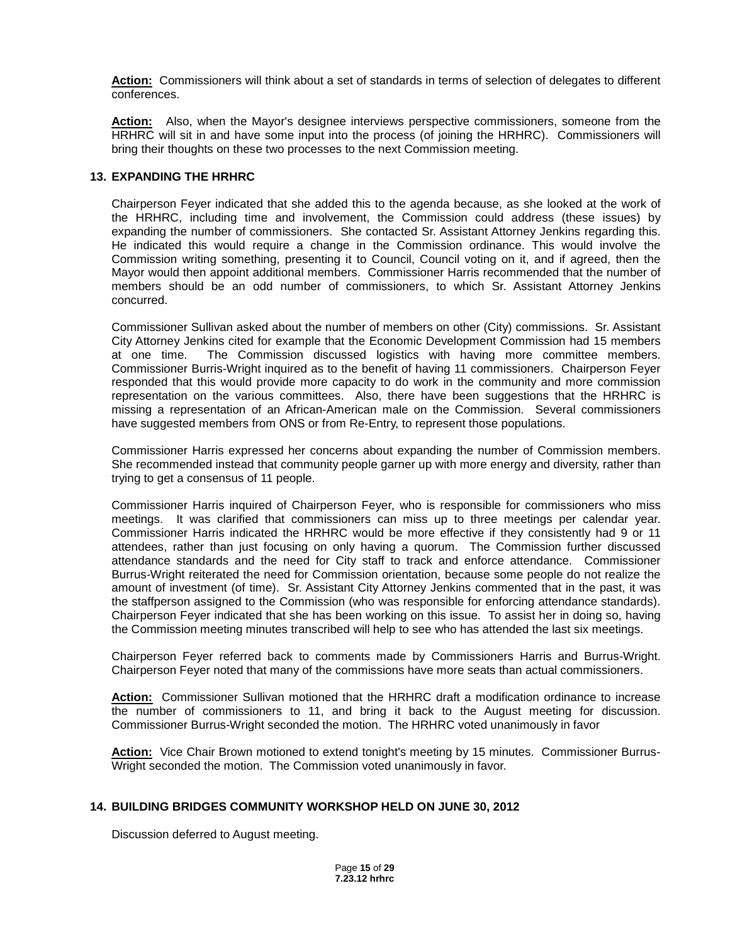**Action:** Commissioners will think about a set of standards in terms of selection of delegates to different conferences.

**Action:** Also, when the Mayor's designee interviews perspective commissioners, someone from the HRHRC will sit in and have some input into the process (of joining the HRHRC). Commissioners will bring their thoughts on these two processes to the next Commission meeting.

### **13. EXPANDING THE HRHRC**

Chairperson Feyer indicated that she added this to the agenda because, as she looked at the work of the HRHRC, including time and involvement, the Commission could address (these issues) by expanding the number of commissioners. She contacted Sr. Assistant Attorney Jenkins regarding this. He indicated this would require a change in the Commission ordinance. This would involve the Commission writing something, presenting it to Council, Council voting on it, and if agreed, then the Mayor would then appoint additional members. Commissioner Harris recommended that the number of members should be an odd number of commissioners, to which Sr. Assistant Attorney Jenkins concurred.

Commissioner Sullivan asked about the number of members on other (City) commissions. Sr. Assistant City Attorney Jenkins cited for example that the Economic Development Commission had 15 members at one time. The Commission discussed logistics with having more committee members. Commissioner Burris-Wright inquired as to the benefit of having 11 commissioners. Chairperson Feyer responded that this would provide more capacity to do work in the community and more commission representation on the various committees. Also, there have been suggestions that the HRHRC is missing a representation of an African-American male on the Commission. Several commissioners have suggested members from ONS or from Re-Entry, to represent those populations.

Commissioner Harris expressed her concerns about expanding the number of Commission members. She recommended instead that community people garner up with more energy and diversity, rather than trying to get a consensus of 11 people.

Commissioner Harris inquired of Chairperson Feyer, who is responsible for commissioners who miss meetings. It was clarified that commissioners can miss up to three meetings per calendar year. Commissioner Harris indicated the HRHRC would be more effective if they consistently had 9 or 11 attendees, rather than just focusing on only having a quorum. The Commission further discussed attendance standards and the need for City staff to track and enforce attendance. Commissioner Burrus-Wright reiterated the need for Commission orientation, because some people do not realize the amount of investment (of time). Sr. Assistant City Attorney Jenkins commented that in the past, it was the staffperson assigned to the Commission (who was responsible for enforcing attendance standards). Chairperson Feyer indicated that she has been working on this issue. To assist her in doing so, having the Commission meeting minutes transcribed will help to see who has attended the last six meetings.

Chairperson Feyer referred back to comments made by Commissioners Harris and Burrus-Wright. Chairperson Feyer noted that many of the commissions have more seats than actual commissioners.

**Action:** Commissioner Sullivan motioned that the HRHRC draft a modification ordinance to increase the number of commissioners to 11, and bring it back to the August meeting for discussion. Commissioner Burrus-Wright seconded the motion. The HRHRC voted unanimously in favor

**Action:** Vice Chair Brown motioned to extend tonight's meeting by 15 minutes. Commissioner Burrus-Wright seconded the motion. The Commission voted unanimously in favor.

### **14. BUILDING BRIDGES COMMUNITY WORKSHOP HELD ON JUNE 30, 2012**

Discussion deferred to August meeting.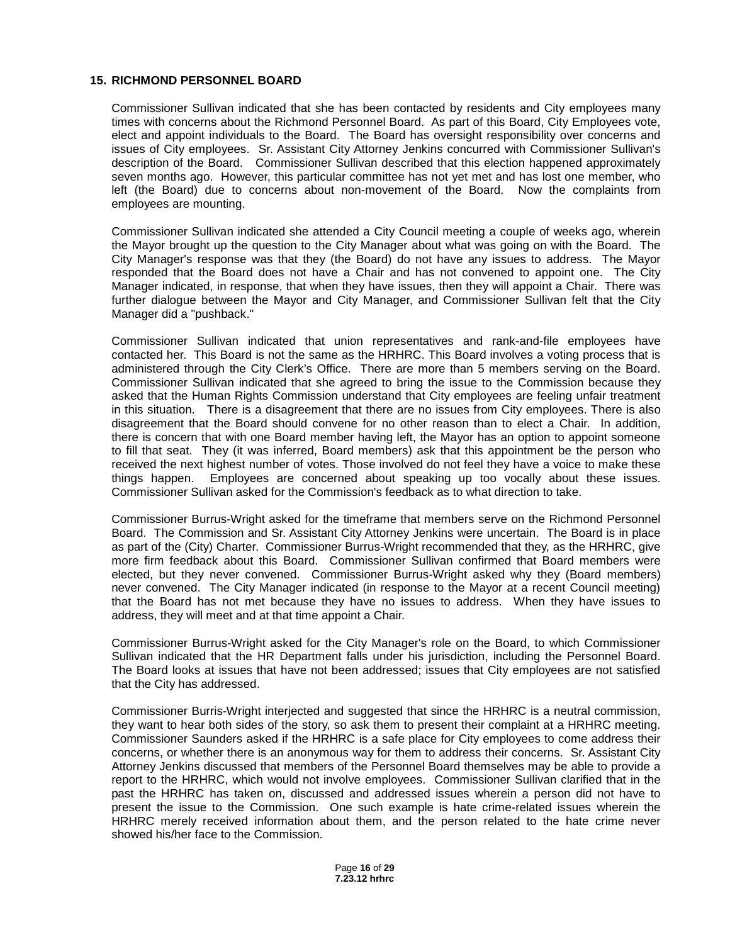### **15. RICHMOND PERSONNEL BOARD**

Commissioner Sullivan indicated that she has been contacted by residents and City employees many times with concerns about the Richmond Personnel Board. As part of this Board, City Employees vote, elect and appoint individuals to the Board. The Board has oversight responsibility over concerns and issues of City employees. Sr. Assistant City Attorney Jenkins concurred with Commissioner Sullivan's description of the Board. Commissioner Sullivan described that this election happened approximately seven months ago. However, this particular committee has not yet met and has lost one member, who left (the Board) due to concerns about non-movement of the Board. Now the complaints from employees are mounting.

Commissioner Sullivan indicated she attended a City Council meeting a couple of weeks ago, wherein the Mayor brought up the question to the City Manager about what was going on with the Board. The City Manager's response was that they (the Board) do not have any issues to address. The Mayor responded that the Board does not have a Chair and has not convened to appoint one. The City Manager indicated, in response, that when they have issues, then they will appoint a Chair. There was further dialogue between the Mayor and City Manager, and Commissioner Sullivan felt that the City Manager did a "pushback."

Commissioner Sullivan indicated that union representatives and rank-and-file employees have contacted her. This Board is not the same as the HRHRC. This Board involves a voting process that is administered through the City Clerk's Office. There are more than 5 members serving on the Board. Commissioner Sullivan indicated that she agreed to bring the issue to the Commission because they asked that the Human Rights Commission understand that City employees are feeling unfair treatment in this situation. There is a disagreement that there are no issues from City employees. There is also disagreement that the Board should convene for no other reason than to elect a Chair. In addition, there is concern that with one Board member having left, the Mayor has an option to appoint someone to fill that seat. They (it was inferred, Board members) ask that this appointment be the person who received the next highest number of votes. Those involved do not feel they have a voice to make these things happen. Employees are concerned about speaking up too vocally about these issues. Commissioner Sullivan asked for the Commission's feedback as to what direction to take.

Commissioner Burrus-Wright asked for the timeframe that members serve on the Richmond Personnel Board. The Commission and Sr. Assistant City Attorney Jenkins were uncertain. The Board is in place as part of the (City) Charter. Commissioner Burrus-Wright recommended that they, as the HRHRC, give more firm feedback about this Board. Commissioner Sullivan confirmed that Board members were elected, but they never convened. Commissioner Burrus-Wright asked why they (Board members) never convened. The City Manager indicated (in response to the Mayor at a recent Council meeting) that the Board has not met because they have no issues to address. When they have issues to address, they will meet and at that time appoint a Chair.

Commissioner Burrus-Wright asked for the City Manager's role on the Board, to which Commissioner Sullivan indicated that the HR Department falls under his jurisdiction, including the Personnel Board. The Board looks at issues that have not been addressed; issues that City employees are not satisfied that the City has addressed.

Commissioner Burris-Wright interjected and suggested that since the HRHRC is a neutral commission, they want to hear both sides of the story, so ask them to present their complaint at a HRHRC meeting. Commissioner Saunders asked if the HRHRC is a safe place for City employees to come address their concerns, or whether there is an anonymous way for them to address their concerns. Sr. Assistant City Attorney Jenkins discussed that members of the Personnel Board themselves may be able to provide a report to the HRHRC, which would not involve employees. Commissioner Sullivan clarified that in the past the HRHRC has taken on, discussed and addressed issues wherein a person did not have to present the issue to the Commission. One such example is hate crime-related issues wherein the HRHRC merely received information about them, and the person related to the hate crime never showed his/her face to the Commission.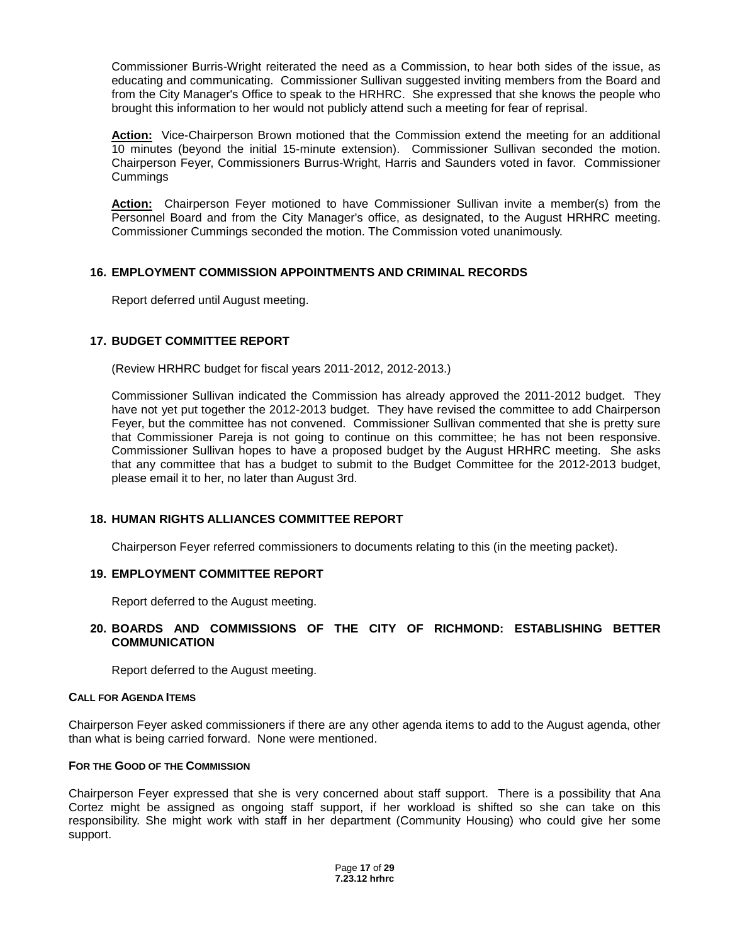Commissioner Burris-Wright reiterated the need as a Commission, to hear both sides of the issue, as educating and communicating. Commissioner Sullivan suggested inviting members from the Board and from the City Manager's Office to speak to the HRHRC. She expressed that she knows the people who brought this information to her would not publicly attend such a meeting for fear of reprisal.

**Action:** Vice-Chairperson Brown motioned that the Commission extend the meeting for an additional 10 minutes (beyond the initial 15-minute extension). Commissioner Sullivan seconded the motion. Chairperson Feyer, Commissioners Burrus-Wright, Harris and Saunders voted in favor. Commissioner Cummings

**Action:** Chairperson Feyer motioned to have Commissioner Sullivan invite a member(s) from the Personnel Board and from the City Manager's office, as designated, to the August HRHRC meeting. Commissioner Cummings seconded the motion. The Commission voted unanimously.

## **16. EMPLOYMENT COMMISSION APPOINTMENTS AND CRIMINAL RECORDS**

Report deferred until August meeting.

### **17. BUDGET COMMITTEE REPORT**

(Review HRHRC budget for fiscal years 2011-2012, 2012-2013.)

Commissioner Sullivan indicated the Commission has already approved the 2011-2012 budget. They have not yet put together the 2012-2013 budget. They have revised the committee to add Chairperson Feyer, but the committee has not convened. Commissioner Sullivan commented that she is pretty sure that Commissioner Pareja is not going to continue on this committee; he has not been responsive. Commissioner Sullivan hopes to have a proposed budget by the August HRHRC meeting. She asks that any committee that has a budget to submit to the Budget Committee for the 2012-2013 budget, please email it to her, no later than August 3rd.

### **18. HUMAN RIGHTS ALLIANCES COMMITTEE REPORT**

Chairperson Feyer referred commissioners to documents relating to this (in the meeting packet).

### **19. EMPLOYMENT COMMITTEE REPORT**

Report deferred to the August meeting.

### **20. BOARDS AND COMMISSIONS OF THE CITY OF RICHMOND: ESTABLISHING BETTER COMMUNICATION**

Report deferred to the August meeting.

#### **CALL FOR AGENDA ITEMS**

Chairperson Feyer asked commissioners if there are any other agenda items to add to the August agenda, other than what is being carried forward. None were mentioned.

### **FOR THE GOOD OF THE COMMISSION**

Chairperson Feyer expressed that she is very concerned about staff support. There is a possibility that Ana Cortez might be assigned as ongoing staff support, if her workload is shifted so she can take on this responsibility. She might work with staff in her department (Community Housing) who could give her some support.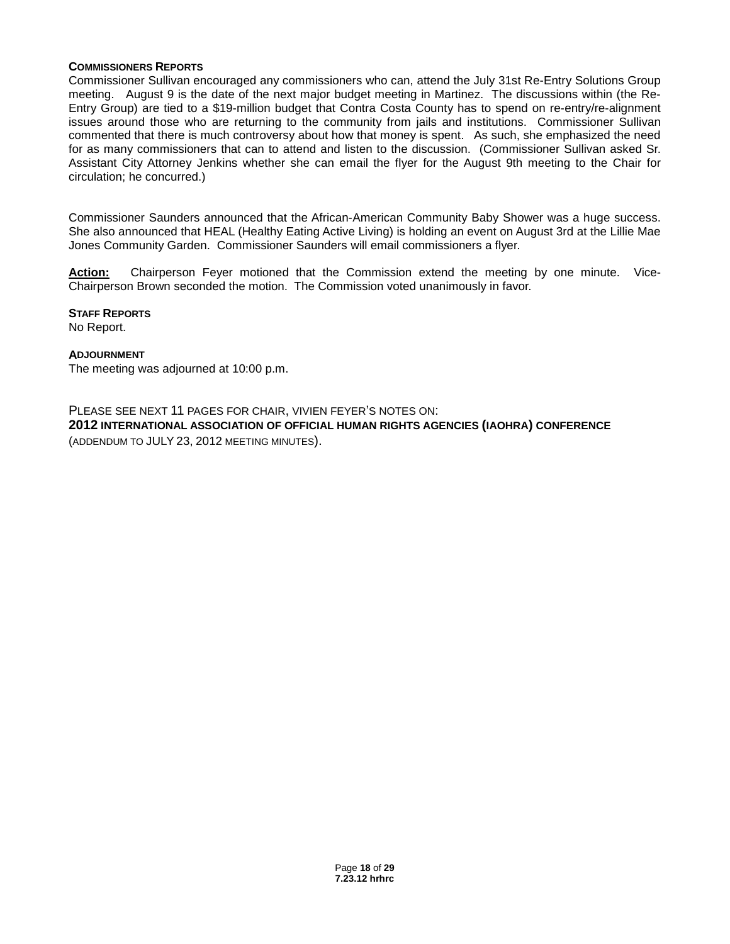### **COMMISSIONERS REPORTS**

Commissioner Sullivan encouraged any commissioners who can, attend the July 31st Re-Entry Solutions Group meeting. August 9 is the date of the next major budget meeting in Martinez. The discussions within (the Re-Entry Group) are tied to a \$19-million budget that Contra Costa County has to spend on re-entry/re-alignment issues around those who are returning to the community from jails and institutions. Commissioner Sullivan commented that there is much controversy about how that money is spent. As such, she emphasized the need for as many commissioners that can to attend and listen to the discussion. (Commissioner Sullivan asked Sr. Assistant City Attorney Jenkins whether she can email the flyer for the August 9th meeting to the Chair for circulation; he concurred.)

Commissioner Saunders announced that the African-American Community Baby Shower was a huge success. She also announced that HEAL (Healthy Eating Active Living) is holding an event on August 3rd at the Lillie Mae Jones Community Garden. Commissioner Saunders will email commissioners a flyer.

**Action:** Chairperson Feyer motioned that the Commission extend the meeting by one minute. Vice-Chairperson Brown seconded the motion. The Commission voted unanimously in favor.

**STAFF REPORTS**

No Report.

### **ADJOURNMENT**

The meeting was adjourned at 10:00 p.m.

PLEASE SEE NEXT 11 PAGES FOR CHAIR, VIVIEN FEYER'S NOTES ON:

**2012 INTERNATIONAL ASSOCIATION OF OFFICIAL HUMAN RIGHTS AGENCIES (IAOHRA) CONFERENCE** (ADDENDUM TO JULY 23, 2012 MEETING MINUTES).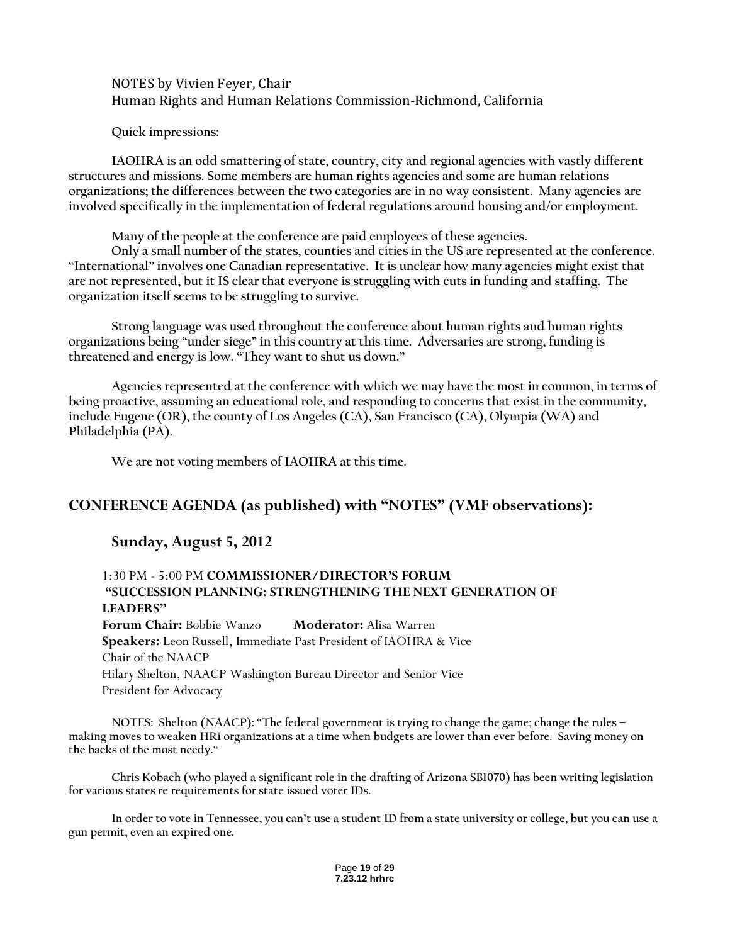## NOTES by Vivien Feyer, Chair Human Rights and Human Relations Commission-Richmond, California

**Quick impressions:**

**IAOHRA is an odd smattering of state, country, city and regional agencies with vastly different structures and missions. Some members are human rights agencies and some are human relations organizations; the differences between the two categories are in no way consistent. Many agencies are involved specifically in the implementation of federal regulations around housing and/or employment.**

**Many of the people at the conference are paid employees of these agencies.**

**Only a small number of the states, counties and cities in the US are represented at the conference. "International" involves one Canadian representative. It is unclear how many agencies might exist that are not represented, but it IS clear that everyone is struggling with cuts in funding and staffing. The organization itself seems to be struggling to survive.**

**Strong language was used throughout the conference about human rights and human rights organizations being "under siege" in this country at this time. Adversaries are strong, funding is threatened and energy is low. "They want to shut us down."**

**Agencies represented at the conference with which we may have the most in common, in terms of being proactive, assuming an educational role, and responding to concerns that exist in the community, include Eugene (OR), the county of Los Angeles (CA), San Francisco (CA), Olympia (WA) and Philadelphia (PA).** 

**We are not voting members of IAOHRA at this time.**

## **CONFERENCE AGENDA (as published) with "NOTES" (VMF observations):**

## **Sunday, August 5, 2012**

## 1:30 PM - 5:00 PM **COMMISSIONER/DIRECTOR'S FORUM "SUCCESSION PLANNING: STRENGTHENING THE NEXT GENERATION OF LEADERS"**

**Forum Chair:** Bobbie Wanzo **Moderator:** Alisa Warren **Speakers:** Leon Russell, Immediate Past President of IAOHRA & Vice Chair of the NAACP Hilary Shelton, NAACP Washington Bureau Director and Senior Vice President for Advocacy

**NOTES: Shelton (NAACP): "The federal government is trying to change the game; change the rules – making moves to weaken HRi organizations at a time when budgets are lower than ever before. Saving money on the backs of the most needy."**

**Chris Kobach (who played a significant role in the drafting of Arizona SB1070) has been writing legislation for various states re requirements for state issued voter IDs.**

**In order to vote in Tennessee, you can't use a student ID from a state university or college, but you can use a gun permit, even an expired one.**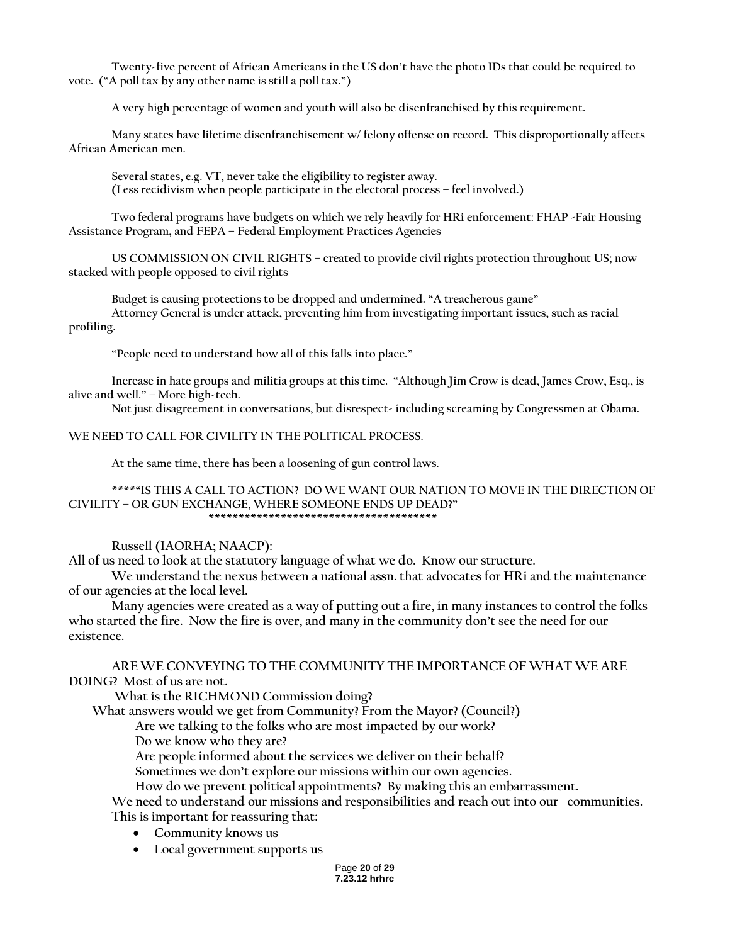**Twenty-five percent of African Americans in the US don't have the photo IDs that could be required to vote. ("A poll tax by any other name is still a poll tax.")**

**A very high percentage of women and youth will also be disenfranchised by this requirement.** 

**Many states have lifetime disenfranchisement w/ felony offense on record. This disproportionally affects African American men.**

**Several states, e.g. VT, never take the eligibility to register away. (Less recidivism when people participate in the electoral process – feel involved.)**

**Two federal programs have budgets on which we rely heavily for HRi enforcement: FHAP -Fair Housing Assistance Program, and FEPA – Federal Employment Practices Agencies**

**US COMMISSION ON CIVIL RIGHTS – created to provide civil rights protection throughout US; now stacked with people opposed to civil rights**

**Budget is causing protections to be dropped and undermined. "A treacherous game" Attorney General is under attack, preventing him from investigating important issues, such as racial profiling.**

**"People need to understand how all of this falls into place."**

**Increase in hate groups and militia groups at this time. "Although Jim Crow is dead, James Crow, Esq., is alive and well." – More high-tech.**

**Not just disagreement in conversations, but disrespect- including screaming by Congressmen at Obama.** 

### **WE NEED TO CALL FOR CIVILITY IN THE POLITICAL PROCESS.**

**At the same time, there has been a loosening of gun control laws.**

**\*\*\*\*"IS THIS A CALL TO ACTION? DO WE WANT OUR NATION TO MOVE IN THE DIRECTION OF CIVILITY – OR GUN EXCHANGE, WHERE SOMEONE ENDS UP DEAD?" \*\*\*\*\*\*\*\*\*\*\*\*\*\*\*\*\*\*\*\*\*\*\*\*\*\*\*\*\*\*\*\*\*\*\*\*\*\***

### **Russell (IAORHA; NAACP):**

**All of us need to look at the statutory language of what we do. Know our structure.**

**We understand the nexus between a national assn. that advocates for HRi and the maintenance of our agencies at the local level.** 

**Many agencies were created as a way of putting out a fire, in many instances to control the folks who started the fire. Now the fire is over, and many in the community don't see the need for our existence.**

**ARE WE CONVEYING TO THE COMMUNITY THE IMPORTANCE OF WHAT WE ARE DOING? Most of us are not.**

**What is the RICHMOND Commission doing?** 

 **What answers would we get from Community? From the Mayor? (Council?)**

 **Are we talking to the folks who are most impacted by our work?**

 **Do we know who they are?**

 **Are people informed about the services we deliver on their behalf?**

 **Sometimes we don't explore our missions within our own agencies.**

 **How do we prevent political appointments? By making this an embarrassment.**

**We need to understand our missions and responsibilities and reach out into our communities. This is important for reassuring that:**

- **Community knows us**
- **Local government supports us**

Page **20** of **29 7.23.12 hrhrc**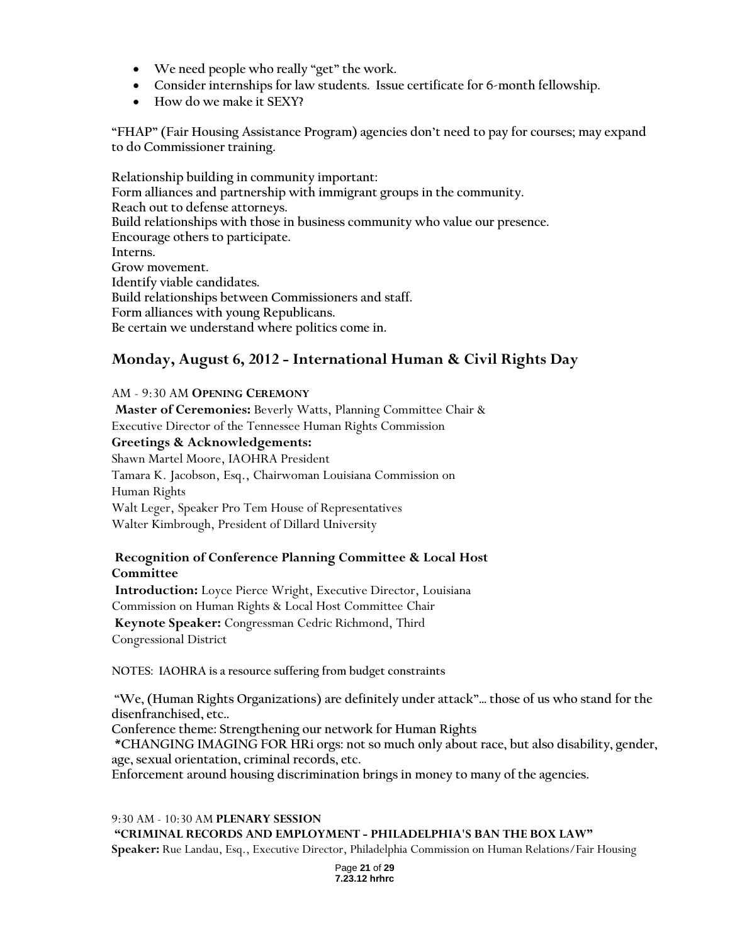- **We need people who really "get" the work.**
- **Consider internships for law students. Issue certificate for 6-month fellowship.**
- **How do we make it SEXY?**

**"FHAP" (Fair Housing Assistance Program) agencies don't need to pay for courses; may expand to do Commissioner training.** 

**Relationship building in community important: Form alliances and partnership with immigrant groups in the community. Reach out to defense attorneys. Build relationships with those in business community who value our presence. Encourage others to participate. Interns. Grow movement. Identify viable candidates. Build relationships between Commissioners and staff. Form alliances with young Republicans. Be certain we understand where politics come in.**

## **Monday, August 6, 2012 - International Human & Civil Rights Day**

AM - 9:30 AM **OPENING CEREMONY**

**Master of Ceremonies:** Beverly Watts, Planning Committee Chair & Executive Director of the Tennessee Human Rights Commission

## **Greetings & Acknowledgements:**

Shawn Martel Moore, IAOHRA President Tamara K. Jacobson, Esq., Chairwoman Louisiana Commission on Human Rights Walt Leger, Speaker Pro Tem House of Representatives Walter Kimbrough, President of Dillard University

## **Recognition of Conference Planning Committee & Local Host Committee**

**Introduction:** Loyce Pierce Wright, Executive Director, Louisiana Commission on Human Rights & Local Host Committee Chair **Keynote Speaker:** Congressman Cedric Richmond, Third Congressional District

**NOTES: IAOHRA is a resource suffering from budget constraints**

**"We, (Human Rights Organizations) are definitely under attack"… those of us who stand for the disenfranchised, etc..**

**Conference theme: Strengthening our network for Human Rights**

**\*CHANGING IMAGING FOR HRi orgs: not so much only about race, but also disability, gender, age, sexual orientation, criminal records, etc.**

**Enforcement around housing discrimination brings in money to many of the agencies.**

9:30 AM - 10:30 AM **PLENARY SESSION "CRIMINAL RECORDS AND EMPLOYMENT - PHILADELPHIA'S BAN THE BOX LAW" Speaker:** Rue Landau, Esq., Executive Director, Philadelphia Commission on Human Relations/Fair Housing

> Page **21** of **29 7.23.12 hrhrc**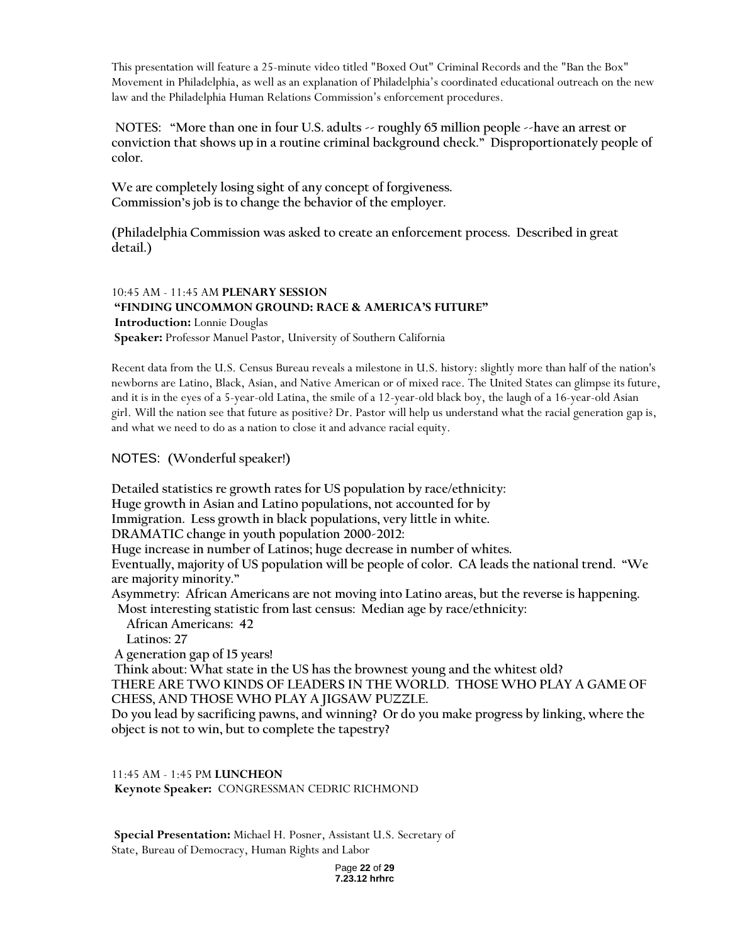This presentation will feature a 25-minute video titled "Boxed Out" Criminal Records and the "Ban the Box" Movement in Philadelphia, as well as an explanation of Philadelphia's coordinated educational outreach on the new law and the Philadelphia Human Relations Commission's enforcement procedures.

**NOTES: "More than one in four U.S. adults -- roughly 65 million people --have an arrest or conviction that shows up in a routine criminal background check." Disproportionately people of color.**

**We are completely losing sight of any concept of forgiveness. Commission's job is to change the behavior of the employer.**

**(Philadelphia Commission was asked to create an enforcement process. Described in great detail.)**

## 10:45 AM - 11:45 AM **PLENARY SESSION "FINDING UNCOMMON GROUND: RACE & AMERICA'S FUTURE" Introduction:** Lonnie Douglas **Speaker:** Professor Manuel Pastor, University of Southern California

Recent data from the U.S. Census Bureau reveals a milestone in U.S. history: slightly more than half of the nation's newborns are Latino, Black, Asian, and Native American or of mixed race. The United States can glimpse its future, and it is in the eyes of a 5-year-old Latina, the smile of a 12-year-old black boy, the laugh of a 16-year-old Asian girl. Will the nation see that future as positive? Dr. Pastor will help us understand what the racial generation gap is, and what we need to do as a nation to close it and advance racial equity.

## NOTES: **(Wonderful speaker!)**

 **Detailed statistics re growth rates for US population by race/ethnicity: Huge growth in Asian and Latino populations, not accounted for by Immigration. Less growth in black populations, very little in white. DRAMATIC change in youth population 2000-2012: Huge increase in number of Latinos; huge decrease in number of whites. Eventually, majority of US population will be people of color. CA leads the national trend. "We are majority minority." Asymmetry: African Americans are not moving into Latino areas, but the reverse is happening. Most interesting statistic from last census: Median age by race/ethnicity: African Americans: 42 Latinos: 27 A generation gap of 15 years! Think about: What state in the US has the brownest young and the whitest old? THERE ARE TWO KINDS OF LEADERS IN THE WORLD. THOSE WHO PLAY A GAME OF CHESS, AND THOSE WHO PLAY A JIGSAW PUZZLE.**

**Do you lead by sacrificing pawns, and winning? Or do you make progress by linking, where the object is not to win, but to complete the tapestry?**

11:45 AM - 1:45 PM **LUNCHEON Keynote Speaker:** CONGRESSMAN CEDRIC RICHMOND

**Special Presentation:** Michael H. Posner, Assistant U.S. Secretary of State, Bureau of Democracy, Human Rights and Labor

> Page **22** of **29 7.23.12 hrhrc**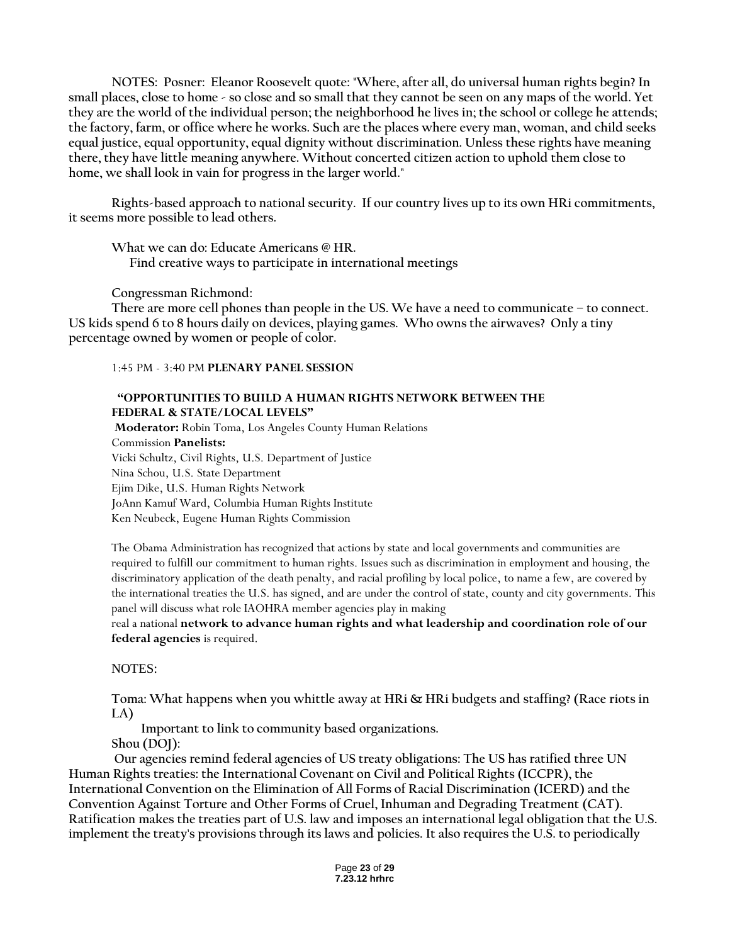**NOTES: Posner: Eleanor Roosevelt quote: "Where, after all, do universal human rights begin? In small places, close to home - so close and so small that they cannot be seen on any maps of the world. Yet they are the world of the individual person; the neighborhood he lives in; the school or college he attends; the factory, farm, or office where he works. Such are the places where every man, woman, and child seeks equal justice, equal opportunity, equal dignity without discrimination. Unless these rights have meaning there, they have little meaning anywhere. Without concerted citizen action to uphold them close to home, we shall look in vain for progress in the larger world."**

**Rights-based approach to national security. If our country lives up to its own HRi commitments, it seems more possible to lead others.**

**What we can do: Educate Americans @ HR. Find creative ways to participate in international meetings**

**Congressman Richmond:**

**There are more cell phones than people in the US. We have a need to communicate – to connect. US kids spend 6 to 8 hours daily on devices, playing games. Who owns the airwaves? Only a tiny percentage owned by women or people of color.** 

1:45 PM - 3:40 PM **PLENARY PANEL SESSION** 

## **"OPPORTUNITIES TO BUILD A HUMAN RIGHTS NETWORK BETWEEN THE FEDERAL & STATE/LOCAL LEVELS"**

**Moderator:** Robin Toma, Los Angeles County Human Relations Commission **Panelists:**  Vicki Schultz, Civil Rights, U.S. Department of Justice Nina Schou, U.S. State Department Ejim Dike, U.S. Human Rights Network JoAnn Kamuf Ward, Columbia Human Rights Institute Ken Neubeck, Eugene Human Rights Commission

The Obama Administration has recognized that actions by state and local governments and communities are required to fulfill our commitment to human rights. Issues such as discrimination in employment and housing, the discriminatory application of the death penalty, and racial profiling by local police, to name a few, are covered by the international treaties the U.S. has signed, and are under the control of state, county and city governments. This panel will discuss what role IAOHRA member agencies play in making

real a national **network to advance human rights and what leadership and coordination role of our federal agencies** is required.

NOTES:

**Toma: What happens when you whittle away at HRi & HRi budgets and staffing? (Race riots in LA)**

 **Important to link to community based organizations.** 

**Shou (DOJ):** 

**Our agencies remind federal agencies of US treaty obligations: The US has ratified three UN Human Rights treaties: the International Covenant on Civil and Political Rights (ICCPR), the International Convention on the Elimination of All Forms of Racial Discrimination (ICERD) and the Convention Against Torture and Other Forms of Cruel, Inhuman and Degrading Treatment (CAT). Ratification makes the treaties part of U.S. law and imposes an international legal obligation that the U.S. implement the treaty's provisions through its laws and policies. It also requires the U.S. to periodically**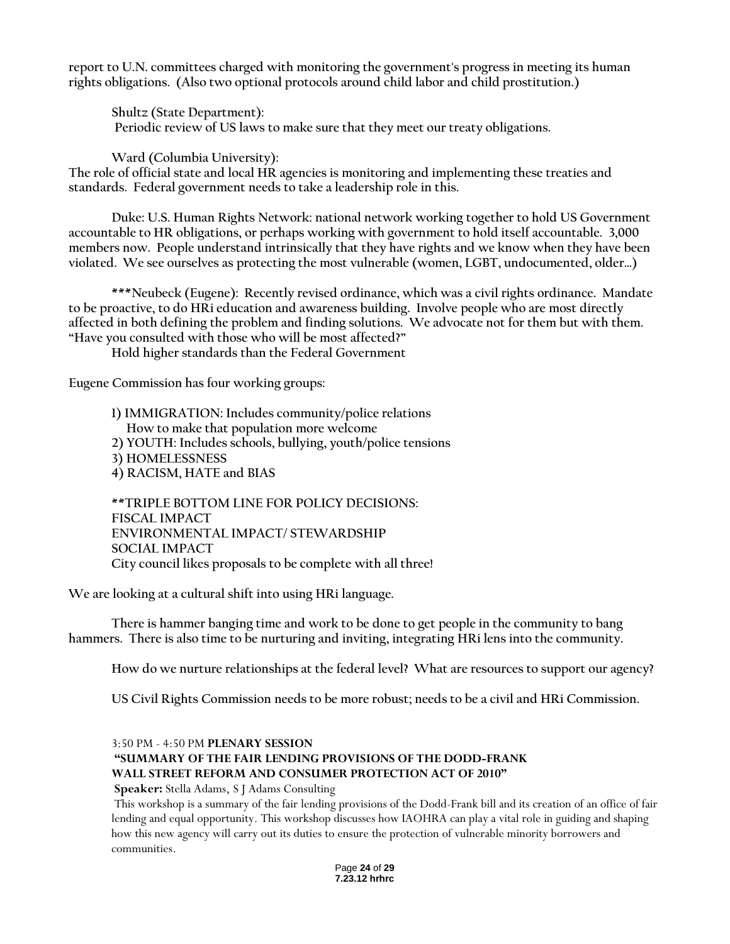**report to U.N. committees charged with monitoring the government's progress in meeting its human rights obligations. (Also two optional protocols around child labor and child prostitution.)**

**Shultz (State Department): Periodic review of US laws to make sure that they meet our treaty obligations.**

**Ward (Columbia University):**

**The role of official state and local HR agencies is monitoring and implementing these treaties and standards. Federal government needs to take a leadership role in this.**

**Duke: U.S. Human Rights Network: national network working together to hold US Government accountable to HR obligations, or perhaps working with government to hold itself accountable. 3,000 members now. People understand intrinsically that they have rights and we know when they have been violated. We see ourselves as protecting the most vulnerable (women, LGBT, undocumented, older…)**

**\*\*\*Neubeck (Eugene): Recently revised ordinance, which was a civil rights ordinance. Mandate to be proactive, to do HRi education and awareness building. Involve people who are most directly affected in both defining the problem and finding solutions. We advocate not for them but with them. "Have you consulted with those who will be most affected?"**

**Hold higher standards than the Federal Government**

**Eugene Commission has four working groups:**

**1) IMMIGRATION: Includes community/police relations How to make that population more welcome 2) YOUTH: Includes schools, bullying, youth/police tensions 3) HOMELESSNESS 4) RACISM, HATE and BIAS**

**\*\*TRIPLE BOTTOM LINE FOR POLICY DECISIONS: FISCAL IMPACT ENVIRONMENTAL IMPACT/ STEWARDSHIP SOCIAL IMPACT City council likes proposals to be complete with all three!**

**We are looking at a cultural shift into using HRi language.**

**There is hammer banging time and work to be done to get people in the community to bang hammers. There is also time to be nurturing and inviting, integrating HRi lens into the community.**

**How do we nurture relationships at the federal level? What are resources to support our agency?**

**US Civil Rights Commission needs to be more robust; needs to be a civil and HRi Commission.**

## 3:50 PM - 4:50 PM **PLENARY SESSION "SUMMARY OF THE FAIR LENDING PROVISIONS OF THE DODD-FRANK WALL STREET REFORM AND CONSUMER PROTECTION ACT OF 2010"**

**Speaker:** Stella Adams, S J Adams Consulting

This workshop is a summary of the fair lending provisions of the Dodd-Frank bill and its creation of an office of fair lending and equal opportunity. This workshop discusses how IAOHRA can play a vital role in guiding and shaping how this new agency will carry out its duties to ensure the protection of vulnerable minority borrowers and communities.

> Page **24** of **29 7.23.12 hrhrc**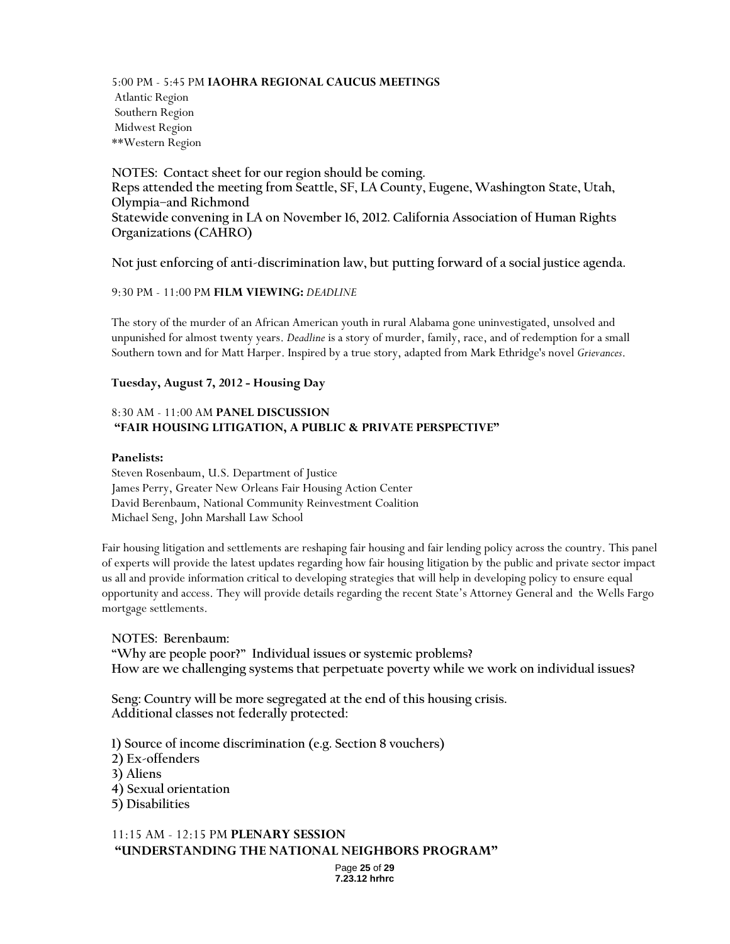5:00 PM - 5:45 PM **IAOHRA REGIONAL CAUCUS MEETINGS**  Atlantic Region Southern Region Midwest Region \*\*Western Region

**NOTES: Contact sheet for our region should be coming. Reps attended the meeting from Seattle, SF, LA County, Eugene, Washington State, Utah, Olympia–and Richmond Statewide convening in LA on November 16, 2012. California Association of Human Rights Organizations (CAHRO)**

**Not just enforcing of anti-discrimination law, but putting forward of a social justice agenda.**

### 9:30 PM - 11:00 PM **FILM VIEWING:** *DEADLINE*

The story of the murder of an African American youth in rural Alabama gone uninvestigated, unsolved and unpunished for almost twenty years. *Deadline* is a story of murder, family, race, and of redemption for a small Southern town and for Matt Harper. Inspired by a true story, adapted from Mark Ethridge's novel *Grievances*.

### **Tuesday, August 7, 2012 - Housing Day**

### 8:30 AM - 11:00 AM **PANEL DISCUSSION "FAIR HOUSING LITIGATION, A PUBLIC & PRIVATE PERSPECTIVE"**

#### **Panelists:**

Steven Rosenbaum, U.S. Department of Justice James Perry, Greater New Orleans Fair Housing Action Center David Berenbaum, National Community Reinvestment Coalition Michael Seng, John Marshall Law School

Fair housing litigation and settlements are reshaping fair housing and fair lending policy across the country. This panel of experts will provide the latest updates regarding how fair housing litigation by the public and private sector impact us all and provide information critical to developing strategies that will help in developing policy to ensure equal opportunity and access. They will provide details regarding the recent State's Attorney General and the Wells Fargo mortgage settlements.

**NOTES: Berenbaum: "Why are people poor?" Individual issues or systemic problems? How are we challenging systems that perpetuate poverty while we work on individual issues?**

**Seng: Country will be more segregated at the end of this housing crisis. Additional classes not federally protected:**

**1) Source of income discrimination (e.g. Section 8 vouchers) 2) Ex-offenders 3) Aliens 4) Sexual orientation 5) Disabilities**

## 11:15 AM - 12:15 PM **PLENARY SESSION "UNDERSTANDING THE NATIONAL NEIGHBORS PROGRAM"**

Page **25** of **29 7.23.12 hrhrc**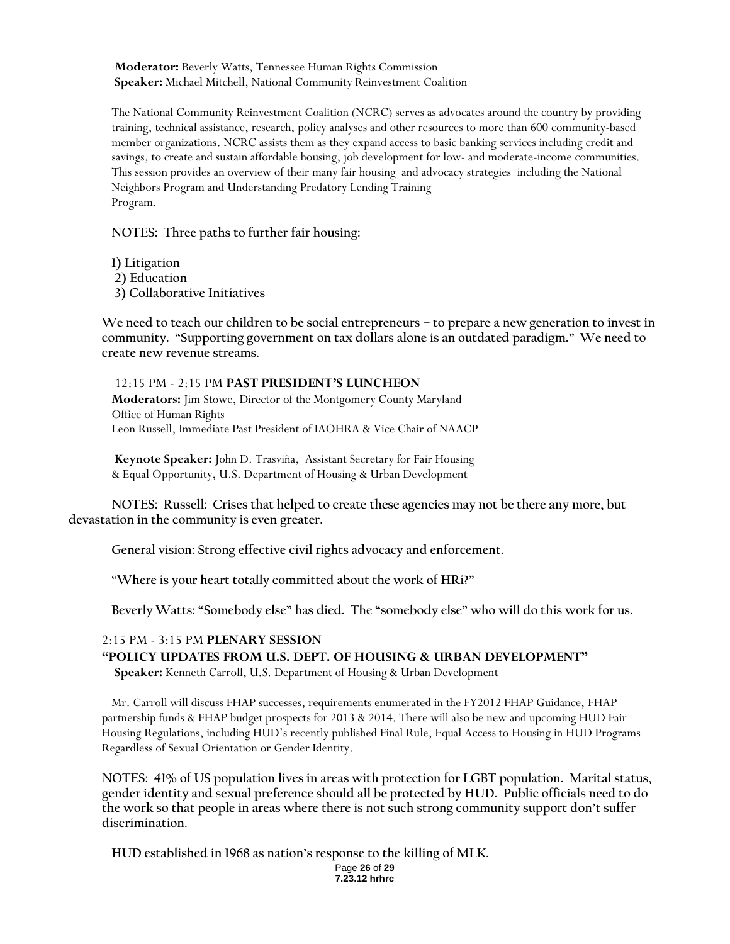**Moderator:** Beverly Watts, Tennessee Human Rights Commission **Speaker:** Michael Mitchell, National Community Reinvestment Coalition

The National Community Reinvestment Coalition (NCRC) serves as advocates around the country by providing training, technical assistance, research, policy analyses and other resources to more than 600 community-based member organizations. NCRC assists them as they expand access to basic banking services including credit and savings, to create and sustain affordable housing, job development for low- and moderate-income communities. This session provides an overview of their many fair housing and advocacy strategies including the National Neighbors Program and Understanding Predatory Lending Training Program.

**NOTES: Three paths to further fair housing:**

**1) Litigation**

**2) Education**

**3) Collaborative Initiatives**

**We need to teach our children to be social entrepreneurs – to prepare a new generation to invest in community. "Supporting government on tax dollars alone is an outdated paradigm." We need to create new revenue streams.**

### 12:15 PM - 2:15 PM **PAST PRESIDENT'S LUNCHEON**

**Moderators:** Jim Stowe, Director of the Montgomery County Maryland Office of Human Rights Leon Russell, Immediate Past President of IAOHRA & Vice Chair of NAACP

**Keynote Speaker:** John D. Trasviña, Assistant Secretary for Fair Housing & Equal Opportunity, U.S. Department of Housing & Urban Development

**NOTES: Russell: Crises that helped to create these agencies may not be there any more, but devastation in the community is even greater.**

**General vision: Strong effective civil rights advocacy and enforcement.**

**"Where is your heart totally committed about the work of HRi?"** 

**Beverly Watts: "Somebody else" has died. The "somebody else" who will do this work for us.**

## 2:15 PM - 3:15 PM **PLENARY SESSION**

### **"POLICY UPDATES FROM U.S. DEPT. OF HOUSING & URBAN DEVELOPMENT" Speaker:** Kenneth Carroll, U.S. Department of Housing & Urban Development

Mr. Carroll will discuss FHAP successes, requirements enumerated in the FY2012 FHAP Guidance, FHAP partnership funds & FHAP budget prospects for 2013 & 2014. There will also be new and upcoming HUD Fair Housing Regulations, including HUD's recently published Final Rule, Equal Access to Housing in HUD Programs Regardless of Sexual Orientation or Gender Identity.

**NOTES: 41% of US population lives in areas with protection for LGBT population. Marital status, gender identity and sexual preference should all be protected by HUD. Public officials need to do the work so that people in areas where there is not such strong community support don't suffer discrimination.**

**HUD established in 1968 as nation's response to the killing of MLK.**

Page **26** of **29 7.23.12 hrhrc**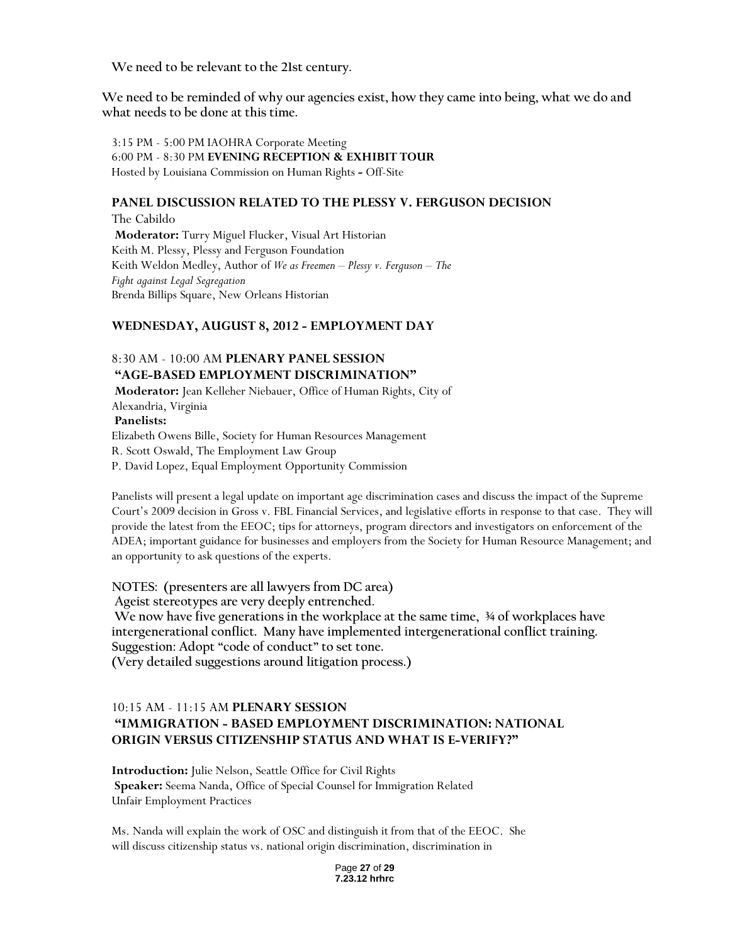**We need to be relevant to the 21st century.** 

**We need to be reminded of why our agencies exist, how they came into being, what we do and what needs to be done at this time.**

3:15 PM - 5:00 PM IAOHRA Corporate Meeting 6:00 PM - 8:30 PM **EVENING RECEPTION & EXHIBIT TOUR**  Hosted by Louisiana Commission on Human Rights **-** Off-Site

### **PANEL DISCUSSION RELATED TO THE PLESSY V. FERGUSON DECISION**

The Cabildo **Moderator:** Turry Miguel Flucker, Visual Art Historian Keith M. Plessy, Plessy and Ferguson Foundation Keith Weldon Medley, Author of *We as Freemen – Plessy v. Ferguson – The Fight against Legal Segregation*  Brenda Billips Square, New Orleans Historian

### **WEDNESDAY, AUGUST 8, 2012 - EMPLOYMENT DAY**

## 8:30 AM - 10:00 AM **PLENARY PANEL SESSION "AGE-BASED EMPLOYMENT DISCRIMINATION"**

**Moderator:** Jean Kelleher Niebauer, Office of Human Rights, City of Alexandria, Virginia **Panelists:**  Elizabeth Owens Bille, Society for Human Resources Management R. Scott Oswald, The Employment Law Group P. David Lopez, Equal Employment Opportunity Commission

Panelists will present a legal update on important age discrimination cases and discuss the impact of the Supreme Court's 2009 decision in Gross v. FBL Financial Services, and legislative efforts in response to that case. They will provide the latest from the EEOC; tips for attorneys, program directors and investigators on enforcement of the ADEA; important guidance for businesses and employers from the Society for Human Resource Management; and an opportunity to ask questions of the experts.

**NOTES: (presenters are all lawyers from DC area) Ageist stereotypes are very deeply entrenched. We now have five generations in the workplace at the same time, ¾ of workplaces have intergenerational conflict. Many have implemented intergenerational conflict training. Suggestion: Adopt "code of conduct" to set tone. (Very detailed suggestions around litigation process.)**

# 10:15 AM - 11:15 AM **PLENARY SESSION "IMMIGRATION - BASED EMPLOYMENT DISCRIMINATION: NATIONAL**

## **ORIGIN VERSUS CITIZENSHIP STATUS AND WHAT IS E-VERIFY?"**

**Introduction:** Julie Nelson, Seattle Office for Civil Rights **Speaker:** Seema Nanda, Office of Special Counsel for Immigration Related Unfair Employment Practices

Ms. Nanda will explain the work of OSC and distinguish it from that of the EEOC. She will discuss citizenship status vs. national origin discrimination, discrimination in

> Page **27** of **29 7.23.12 hrhrc**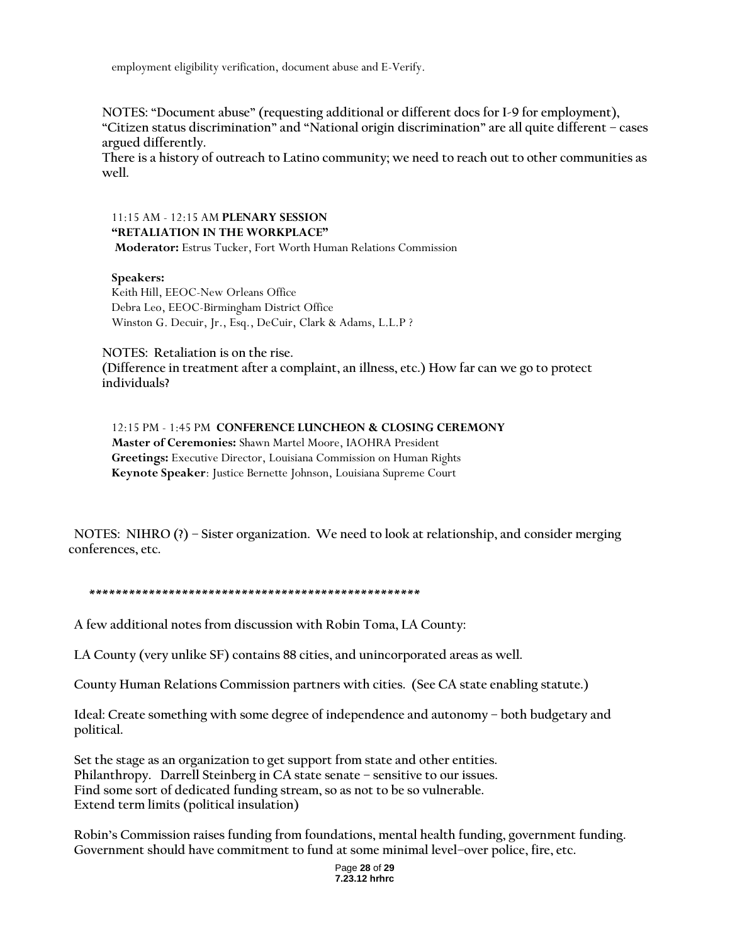employment eligibility verification, document abuse and E-Verify.

**NOTES: "Document abuse" (requesting additional or different docs for I-9 for employment), "Citizen status discrimination" and "National origin discrimination" are all quite different – cases argued differently.**

**There is a history of outreach to Latino community; we need to reach out to other communities as well.**

## 11:15 AM - 12:15 AM **PLENARY SESSION "RETALIATION IN THE WORKPLACE"**

**Moderator:** Estrus Tucker, Fort Worth Human Relations Commission

## **Speakers:**

Keith Hill, EEOC-New Orleans Office Debra Leo, EEOC-Birmingham District Office Winston G. Decuir, Jr., Esq., DeCuir, Clark & Adams, L.L.P ?

**NOTES: Retaliation is on the rise.** 

**(Difference in treatment after a complaint, an illness, etc.) How far can we go to protect individuals?**

12:15 PM - 1:45 PM **CONFERENCE LUNCHEON & CLOSING CEREMONY Master of Ceremonies:** Shawn Martel Moore, IAOHRA President **Greetings:** Executive Director, Louisiana Commission on Human Rights **Keynote Speaker**: Justice Bernette Johnson, Louisiana Supreme Court

 **NOTES: NIHRO (?) – Sister organization. We need to look at relationship, and consider merging conferences, etc.**

## **\*\*\*\*\*\*\*\*\*\*\*\*\*\*\*\*\*\*\*\*\*\*\*\*\*\*\*\*\*\*\*\*\*\*\*\*\*\*\*\*\*\*\*\*\*\*\*\*\*\***

**A few additional notes from discussion with Robin Toma, LA County:**

**LA County (very unlike SF) contains 88 cities, and unincorporated areas as well.**

**County Human Relations Commission partners with cities. (See CA state enabling statute.)**

**Ideal: Create something with some degree of independence and autonomy – both budgetary and political.**

**Set the stage as an organization to get support from state and other entities. Philanthropy. Darrell Steinberg in CA state senate – sensitive to our issues. Find some sort of dedicated funding stream, so as not to be so vulnerable. Extend term limits (political insulation)**

**Robin's Commission raises funding from foundations, mental health funding, government funding. Government should have commitment to fund at some minimal level–over police, fire, etc.**

> Page **28** of **29 7.23.12 hrhrc**